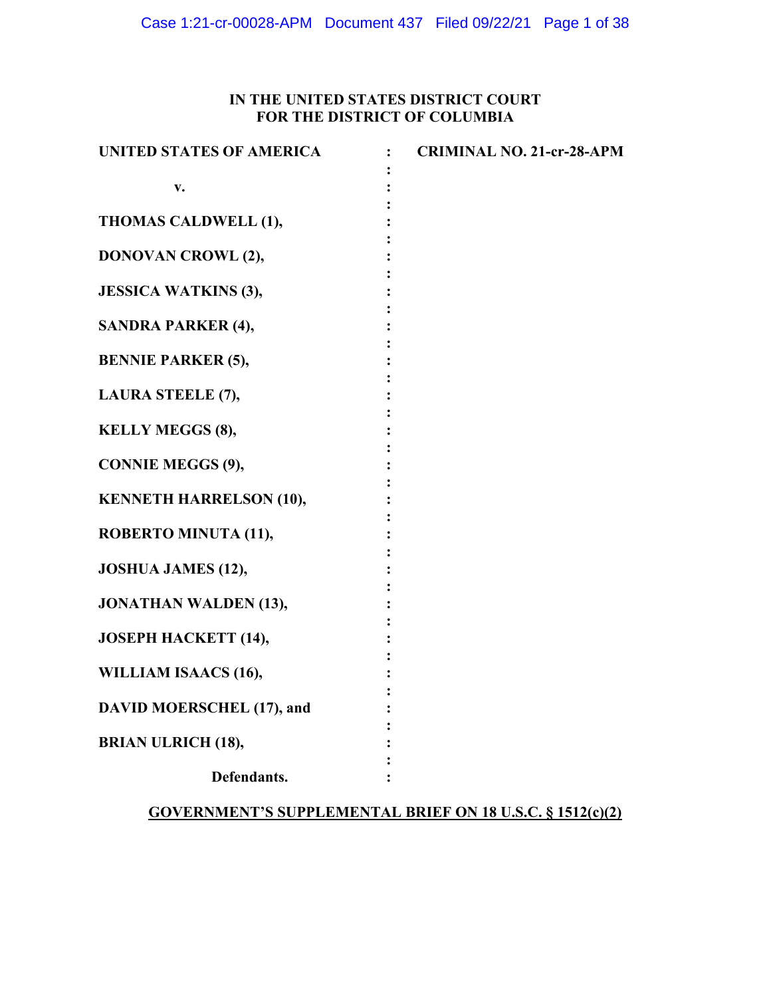## **IN THE UNITED STATES DISTRICT COURT FOR THE DISTRICT OF COLUMBIA**

| <b>UNITED STATES OF AMERICA</b>  | <b>CRIMINAL NO. 21-cr-28-APM</b> |
|----------------------------------|----------------------------------|
| V.                               |                                  |
| THOMAS CALDWELL (1),             |                                  |
| <b>DONOVAN CROWL (2),</b>        |                                  |
| <b>JESSICA WATKINS (3),</b>      |                                  |
| <b>SANDRA PARKER (4),</b>        |                                  |
| <b>BENNIE PARKER (5),</b>        |                                  |
| LAURA STEELE (7),                |                                  |
| <b>KELLY MEGGS (8),</b>          |                                  |
| <b>CONNIE MEGGS (9),</b>         |                                  |
| <b>KENNETH HARRELSON (10),</b>   |                                  |
| ROBERTO MINUTA (11),             |                                  |
| <b>JOSHUA JAMES (12),</b>        |                                  |
| <b>JONATHAN WALDEN (13),</b>     |                                  |
| <b>JOSEPH HACKETT (14),</b>      |                                  |
| WILLIAM ISAACS (16),             |                                  |
| <b>DAVID MOERSCHEL (17), and</b> |                                  |
| <b>BRIAN ULRICH (18),</b>        |                                  |
| Defendants.                      |                                  |

# **GOVERNMENT'S SUPPLEMENTAL BRIEF ON 18 U.S.C. § 1512(c)(2)**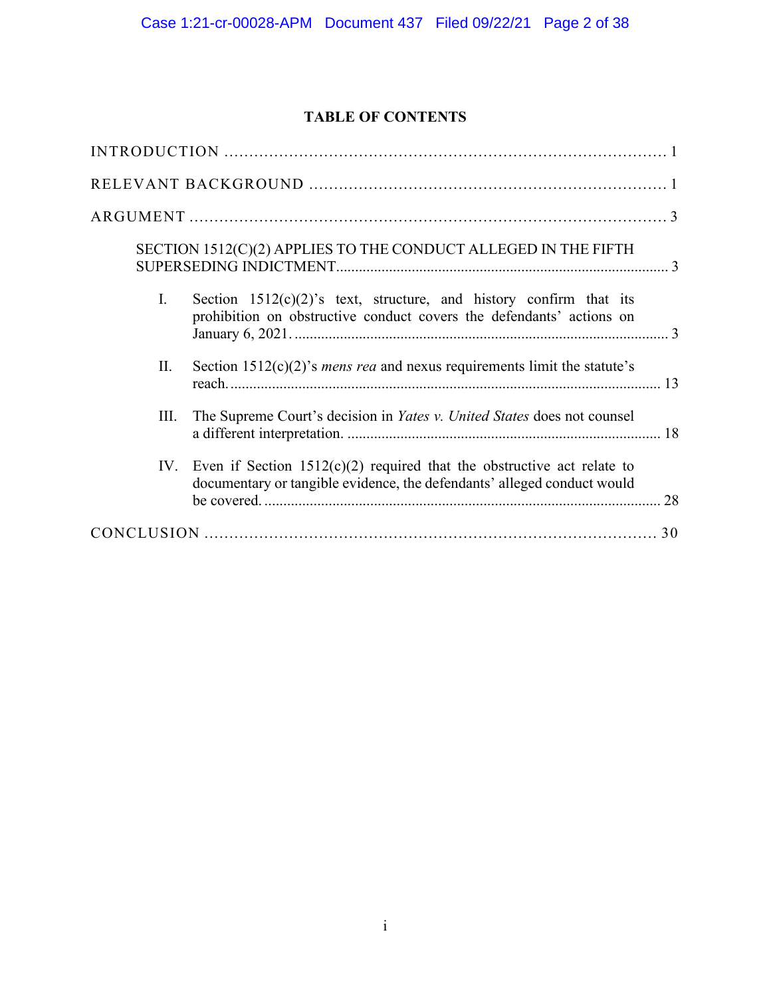## **TABLE OF CONTENTS**

| SECTION 1512(C)(2) APPLIES TO THE CONDUCT ALLEGED IN THE FIFTH                                                                                             |
|------------------------------------------------------------------------------------------------------------------------------------------------------------|
| I.<br>Section $1512(c)(2)$ 's text, structure, and history confirm that its<br>prohibition on obstructive conduct covers the defendants' actions on        |
| Section $1512(c)(2)$ 's <i>mens rea</i> and nexus requirements limit the statute's<br>П.                                                                   |
| The Supreme Court's decision in <i>Yates v. United States</i> does not counsel<br>Ш.                                                                       |
| Even if Section $1512(c)(2)$ required that the obstructive act relate to<br>IV.<br>documentary or tangible evidence, the defendants' alleged conduct would |
|                                                                                                                                                            |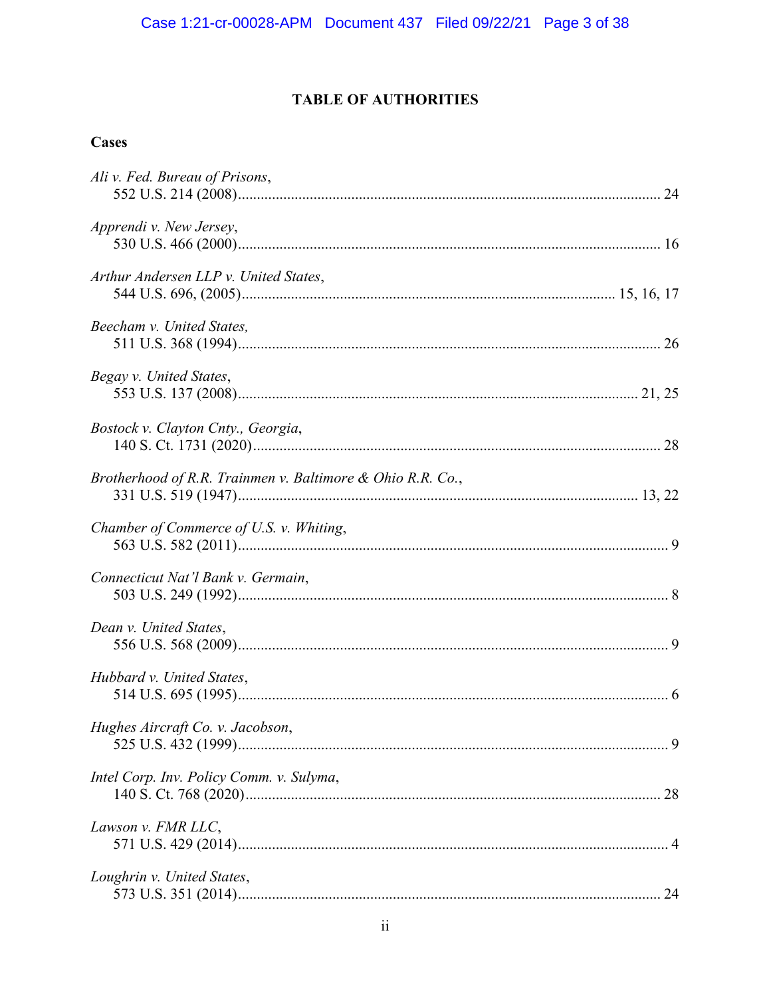# **TABLE OF AUTHORITIES**

# **Cases**

| Ali v. Fed. Bureau of Prisons,                             |  |
|------------------------------------------------------------|--|
| Apprendi v. New Jersey,                                    |  |
| Arthur Andersen LLP v. United States,                      |  |
| Beecham v. United States,                                  |  |
| Begay v. United States,                                    |  |
| Bostock v. Clayton Cnty., Georgia,                         |  |
| Brotherhood of R.R. Trainmen v. Baltimore & Ohio R.R. Co., |  |
| Chamber of Commerce of U.S. v. Whiting,                    |  |
| Connecticut Nat'l Bank v. Germain,                         |  |
| Dean v. United States,                                     |  |
| Hubbard v. United States,                                  |  |
| Hughes Aircraft Co. v. Jacobson,                           |  |
| Intel Corp. Inv. Policy Comm. v. Sulyma,                   |  |
| Lawson v. FMR LLC,                                         |  |
| Loughrin v. United States,                                 |  |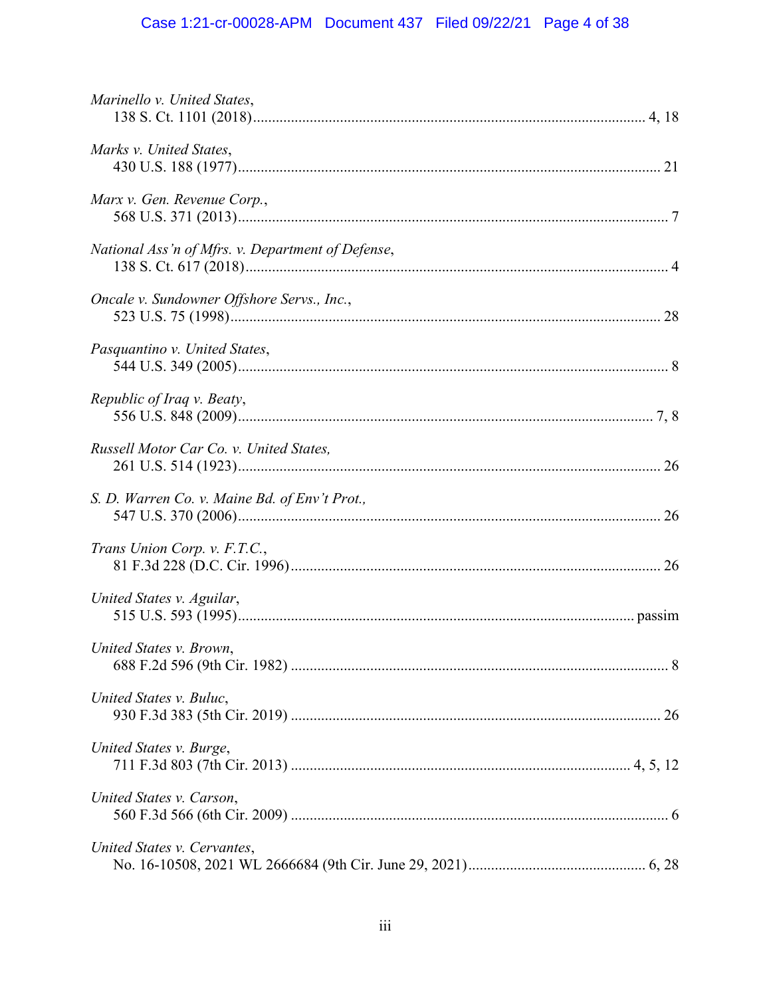# Case 1:21-cr-00028-APM Document 437 Filed 09/22/21 Page 4 of 38

| Marinello v. United States,                       |  |
|---------------------------------------------------|--|
| Marks v. United States,                           |  |
| Marx v. Gen. Revenue Corp.,                       |  |
| National Ass'n of Mfrs. v. Department of Defense, |  |
| Oncale v. Sundowner Offshore Servs., Inc.,        |  |
| Pasquantino v. United States,                     |  |
| Republic of Iraq v. Beaty,                        |  |
| Russell Motor Car Co. v. United States,           |  |
| S. D. Warren Co. v. Maine Bd. of Env't Prot.,     |  |
| Trans Union Corp. v. F.T.C.,                      |  |
| United States v. Aguilar,                         |  |
| United States v. Brown,                           |  |
| United States v. Buluc,                           |  |
| United States v. Burge,                           |  |
| United States v. Carson,                          |  |
| United States v. Cervantes,                       |  |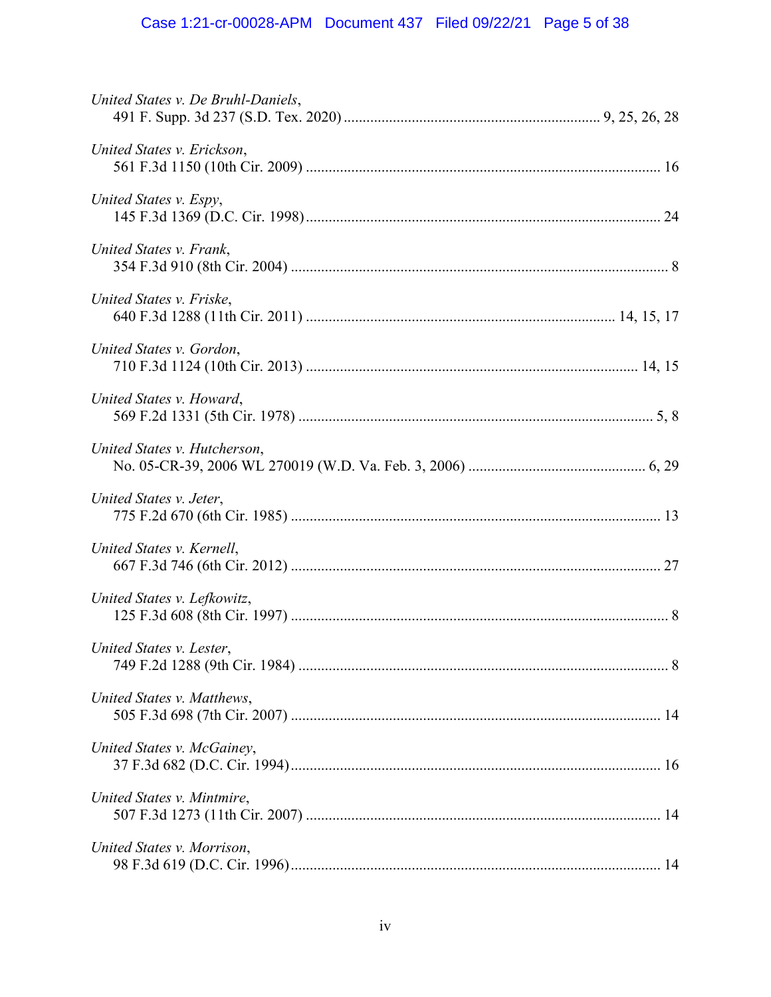| United States v. De Bruhl-Daniels, |
|------------------------------------|
| United States v. Erickson,         |
| United States v. Espy,             |
| United States v. Frank,            |
| United States v. Friske,           |
| United States v. Gordon,           |
| United States v. Howard,           |
| United States v. Hutcherson,       |
| United States v. Jeter,            |
| United States v. Kernell,          |
| United States v. Lefkowitz,        |
| United States v. Lester,           |
| United States v. Matthews,         |
| United States v. McGainey,         |
| United States v. Mintmire,         |
| United States v. Morrison,         |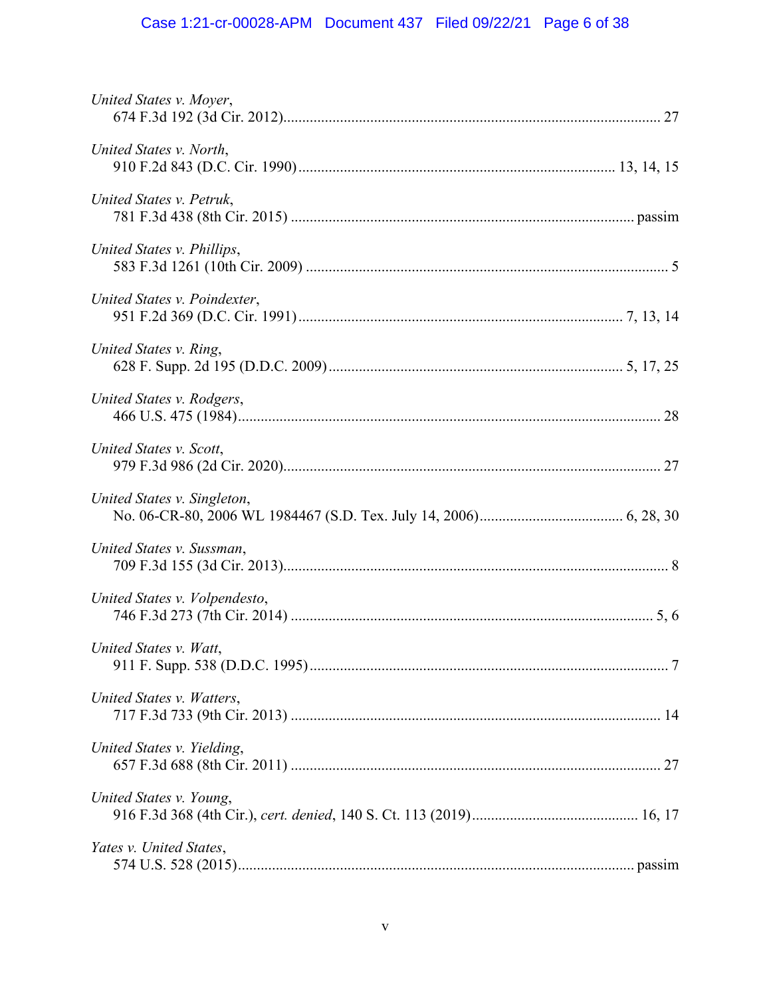# Case 1:21-cr-00028-APM Document 437 Filed 09/22/21 Page 6 of 38

| United States v. Moyer,       |  |
|-------------------------------|--|
| United States v. North,       |  |
| United States v. Petruk,      |  |
| United States v. Phillips,    |  |
| United States v. Poindexter,  |  |
| United States v. Ring,        |  |
| United States v. Rodgers,     |  |
| United States v. Scott,       |  |
| United States v. Singleton,   |  |
| United States v. Sussman,     |  |
| United States v. Volpendesto, |  |
| United States v. Watt,        |  |
| United States v. Watters,     |  |
| United States v. Yielding,    |  |
| United States v. Young,       |  |
| Yates v. United States,       |  |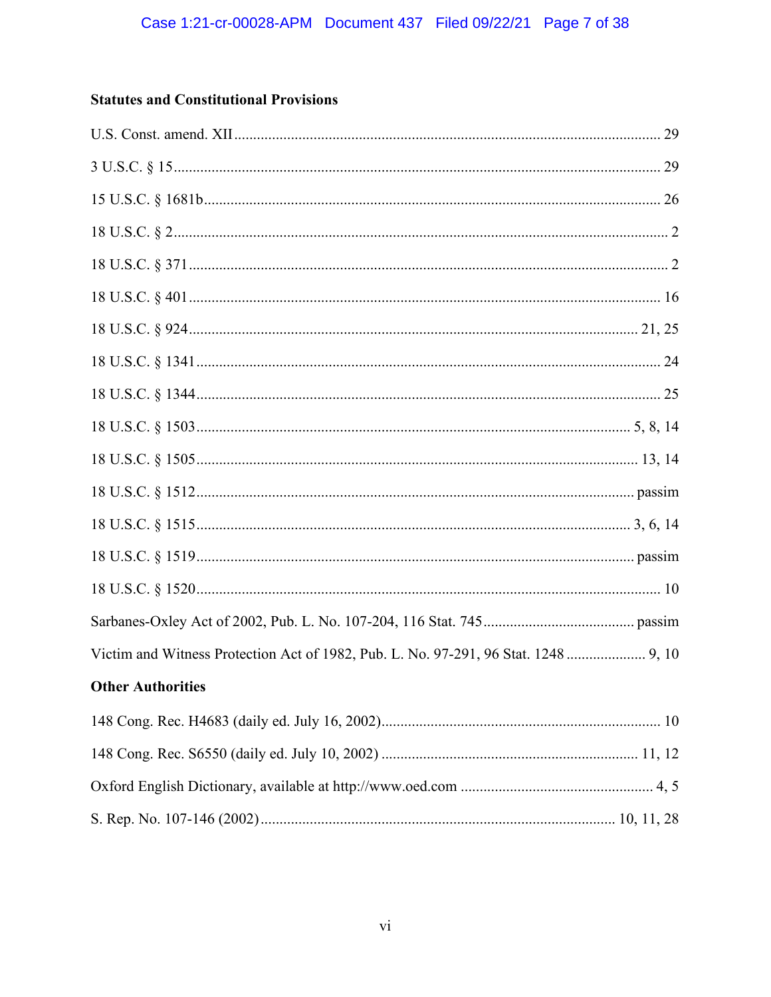# **Statutes and Constitutional Provisions**

| Victim and Witness Protection Act of 1982, Pub. L. No. 97-291, 96 Stat. 1248  9, 10 |  |
|-------------------------------------------------------------------------------------|--|
| <b>Other Authorities</b>                                                            |  |
|                                                                                     |  |
|                                                                                     |  |
|                                                                                     |  |
|                                                                                     |  |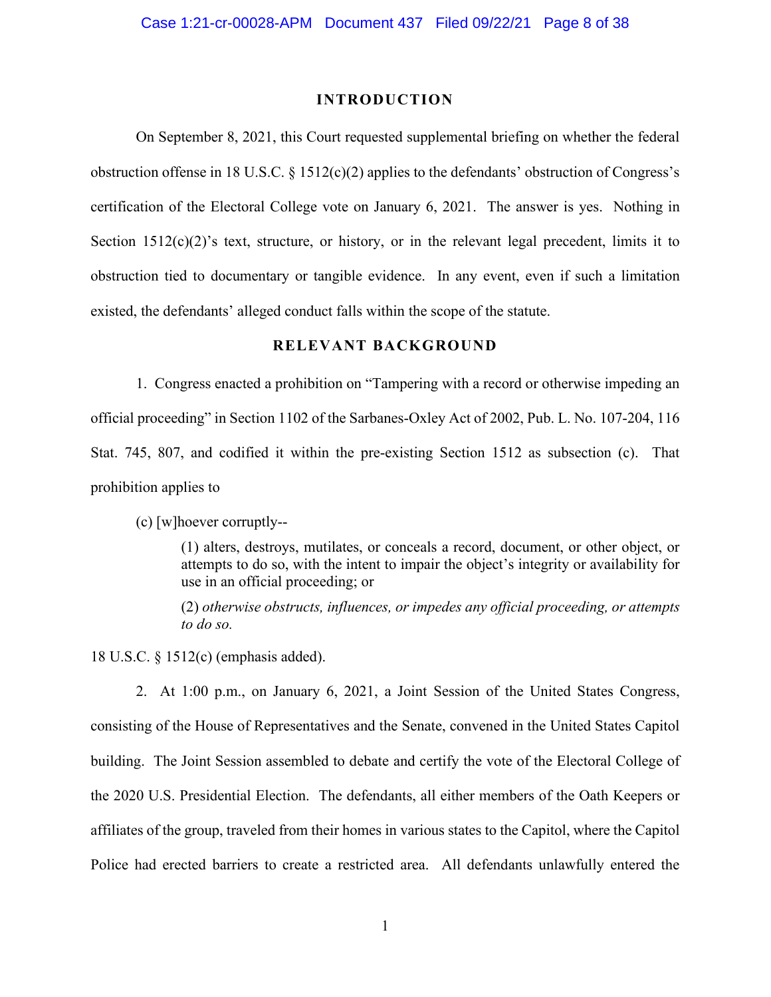#### **INTRODUCTION**

On September 8, 2021, this Court requested supplemental briefing on whether the federal obstruction offense in 18 U.S.C. § 1512(c)(2) applies to the defendants' obstruction of Congress's certification of the Electoral College vote on January 6, 2021. The answer is yes. Nothing in Section 1512(c)(2)'s text, structure, or history, or in the relevant legal precedent, limits it to obstruction tied to documentary or tangible evidence. In any event, even if such a limitation existed, the defendants' alleged conduct falls within the scope of the statute.

### **RELEVANT BACKGROUND**

1. Congress enacted a prohibition on "Tampering with a record or otherwise impeding an official proceeding" in Section 1102 of the Sarbanes-Oxley Act of 2002, Pub. L. No. 107-204, 116 Stat. 745, 807, and codified it within the pre-existing Section 1512 as subsection (c). That prohibition applies to

(c) [w]hoever corruptly--

(1) alters, destroys, mutilates, or conceals a record, document, or other object, or attempts to do so, with the intent to impair the object's integrity or availability for use in an official proceeding; or

(2) *otherwise obstructs, influences, or impedes any official proceeding, or attempts to do so.*

18 U.S.C. § 1512(c) (emphasis added).

2. At 1:00 p.m., on January 6, 2021, a Joint Session of the United States Congress, consisting of the House of Representatives and the Senate, convened in the United States Capitol building. The Joint Session assembled to debate and certify the vote of the Electoral College of the 2020 U.S. Presidential Election. The defendants, all either members of the Oath Keepers or affiliates of the group, traveled from their homes in various states to the Capitol, where the Capitol Police had erected barriers to create a restricted area. All defendants unlawfully entered the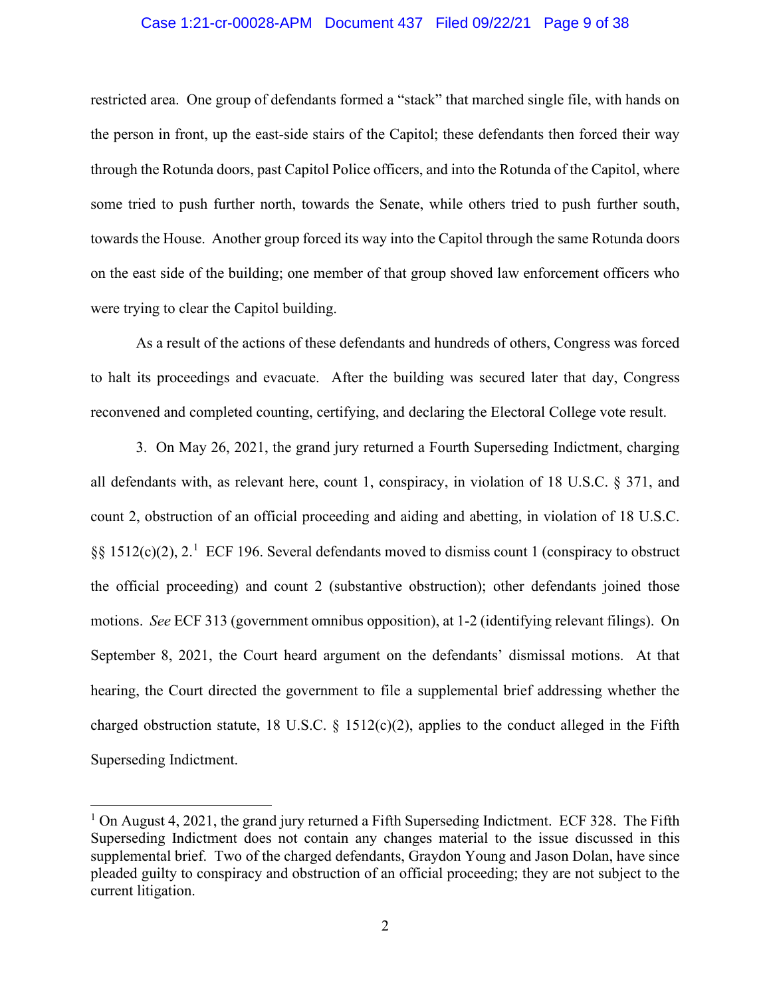#### Case 1:21-cr-00028-APM Document 437 Filed 09/22/21 Page 9 of 38

restricted area. One group of defendants formed a "stack" that marched single file, with hands on the person in front, up the east-side stairs of the Capitol; these defendants then forced their way through the Rotunda doors, past Capitol Police officers, and into the Rotunda of the Capitol, where some tried to push further north, towards the Senate, while others tried to push further south, towards the House. Another group forced its way into the Capitol through the same Rotunda doors on the east side of the building; one member of that group shoved law enforcement officers who were trying to clear the Capitol building.

As a result of the actions of these defendants and hundreds of others, Congress was forced to halt its proceedings and evacuate. After the building was secured later that day, Congress reconvened and completed counting, certifying, and declaring the Electoral College vote result.

3. On May 26, 2021, the grand jury returned a Fourth Superseding Indictment, charging all defendants with, as relevant here, count 1, conspiracy, in violation of 18 U.S.C. § 371, and count 2, obstruction of an official proceeding and aiding and abetting, in violation of 18 U.S.C. §§ 1512(c)(2), 2.<sup>1</sup> ECF 196. Several defendants moved to dismiss count 1 (conspiracy to obstruct the official proceeding) and count 2 (substantive obstruction); other defendants joined those motions. *See* ECF 313 (government omnibus opposition), at 1-2 (identifying relevant filings). On September 8, 2021, the Court heard argument on the defendants' dismissal motions. At that hearing, the Court directed the government to file a supplemental brief addressing whether the charged obstruction statute, 18 U.S.C.  $\S$  1512(c)(2), applies to the conduct alleged in the Fifth Superseding Indictment.

 $1$  On August 4, 2021, the grand jury returned a Fifth Superseding Indictment. ECF 328. The Fifth Superseding Indictment does not contain any changes material to the issue discussed in this supplemental brief. Two of the charged defendants, Graydon Young and Jason Dolan, have since pleaded guilty to conspiracy and obstruction of an official proceeding; they are not subject to the current litigation.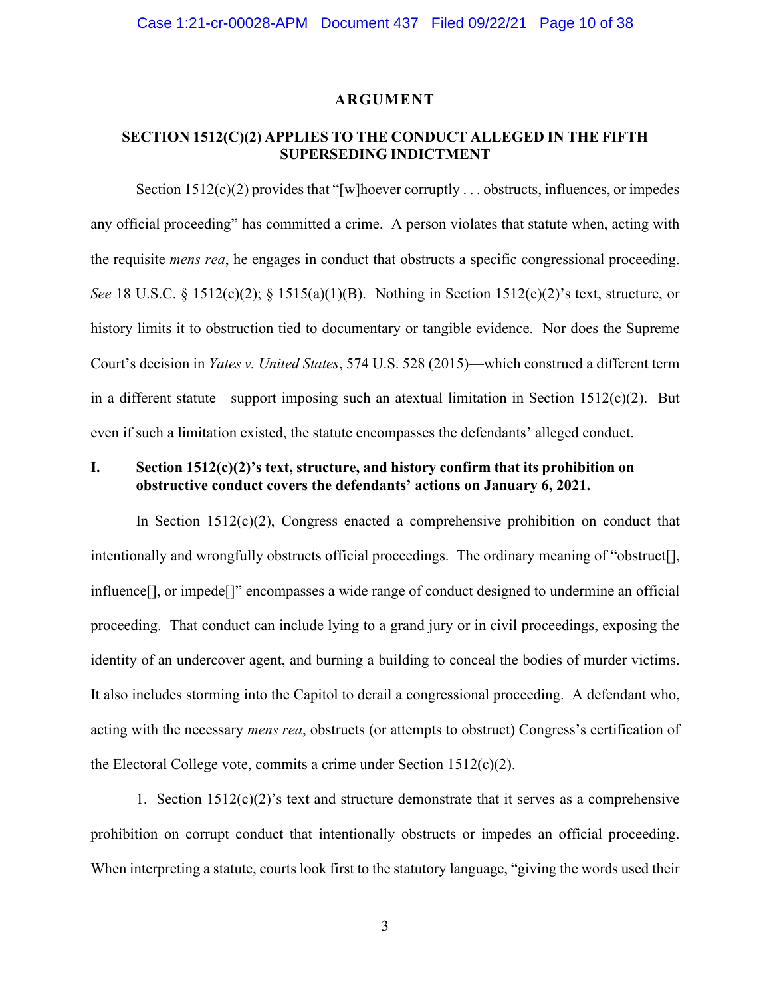#### **ARGUMENT**

## **SECTION 1512(C)(2) APPLIES TO THE CONDUCT ALLEGED IN THE FIFTH SUPERSEDING INDICTMENT**

Section  $1512(c)(2)$  provides that "[w]hoever corruptly . . . obstructs, influences, or impedes any official proceeding" has committed a crime. A person violates that statute when, acting with the requisite *mens rea*, he engages in conduct that obstructs a specific congressional proceeding. *See* 18 U.S.C. § 1512(c)(2); § 1515(a)(1)(B). Nothing in Section 1512(c)(2)'s text, structure, or history limits it to obstruction tied to documentary or tangible evidence. Nor does the Supreme Court's decision in *Yates v. United States*, 574 U.S. 528 (2015)—which construed a different term in a different statute—support imposing such an atextual limitation in Section 1512(c)(2). But even if such a limitation existed, the statute encompasses the defendants' alleged conduct.

## **I. Section 1512(c)(2)'s text, structure, and history confirm that its prohibition on obstructive conduct covers the defendants' actions on January 6, 2021.**

In Section  $1512(c)(2)$ , Congress enacted a comprehensive prohibition on conduct that intentionally and wrongfully obstructs official proceedings. The ordinary meaning of "obstruct[], influence[], or impede[]" encompasses a wide range of conduct designed to undermine an official proceeding. That conduct can include lying to a grand jury or in civil proceedings, exposing the identity of an undercover agent, and burning a building to conceal the bodies of murder victims. It also includes storming into the Capitol to derail a congressional proceeding. A defendant who, acting with the necessary *mens rea*, obstructs (or attempts to obstruct) Congress's certification of the Electoral College vote, commits a crime under Section  $1512(c)(2)$ .

1. Section  $1512(c)(2)$ 's text and structure demonstrate that it serves as a comprehensive prohibition on corrupt conduct that intentionally obstructs or impedes an official proceeding. When interpreting a statute, courts look first to the statutory language, "giving the words used their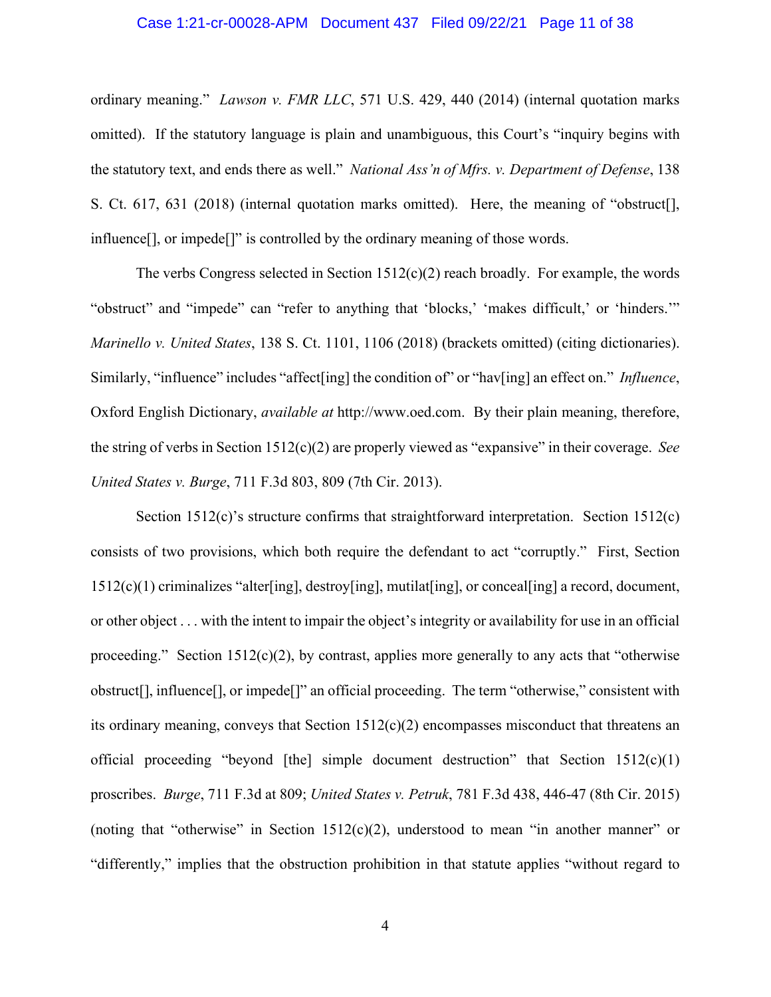#### Case 1:21-cr-00028-APM Document 437 Filed 09/22/21 Page 11 of 38

ordinary meaning." *Lawson v. FMR LLC*, 571 U.S. 429, 440 (2014) (internal quotation marks omitted). If the statutory language is plain and unambiguous, this Court's "inquiry begins with the statutory text, and ends there as well." *National Ass'n of Mfrs. v. Department of Defense*, 138 S. Ct. 617, 631 (2018) (internal quotation marks omitted). Here, the meaning of "obstruct[], influence[], or impede[]" is controlled by the ordinary meaning of those words.

The verbs Congress selected in Section  $1512(c)(2)$  reach broadly. For example, the words "obstruct" and "impede" can "refer to anything that 'blocks,' 'makes difficult,' or 'hinders.'" *Marinello v. United States*, 138 S. Ct. 1101, 1106 (2018) (brackets omitted) (citing dictionaries). Similarly, "influence" includes "affect[ing] the condition of" or "hav[ing] an effect on." *Influence*, Oxford English Dictionary, *available at* http://www.oed.com. By their plain meaning, therefore, the string of verbs in Section 1512(c)(2) are properly viewed as "expansive" in their coverage. *See United States v. Burge*, 711 F.3d 803, 809 (7th Cir. 2013).

Section 1512(c)'s structure confirms that straightforward interpretation. Section 1512(c) consists of two provisions, which both require the defendant to act "corruptly." First, Section 1512(c)(1) criminalizes "alter[ing], destroy[ing], mutilat[ing], or conceal[ing] a record, document, or other object . . . with the intent to impair the object's integrity or availability for use in an official proceeding." Section  $1512(c)(2)$ , by contrast, applies more generally to any acts that "otherwise obstruct[], influence[], or impede[]" an official proceeding. The term "otherwise," consistent with its ordinary meaning, conveys that Section 1512(c)(2) encompasses misconduct that threatens an official proceeding "beyond [the] simple document destruction" that Section  $1512(c)(1)$ proscribes. *Burge*, 711 F.3d at 809; *United States v. Petruk*, 781 F.3d 438, 446-47 (8th Cir. 2015) (noting that "otherwise" in Section  $1512(c)(2)$ , understood to mean "in another manner" or "differently," implies that the obstruction prohibition in that statute applies "without regard to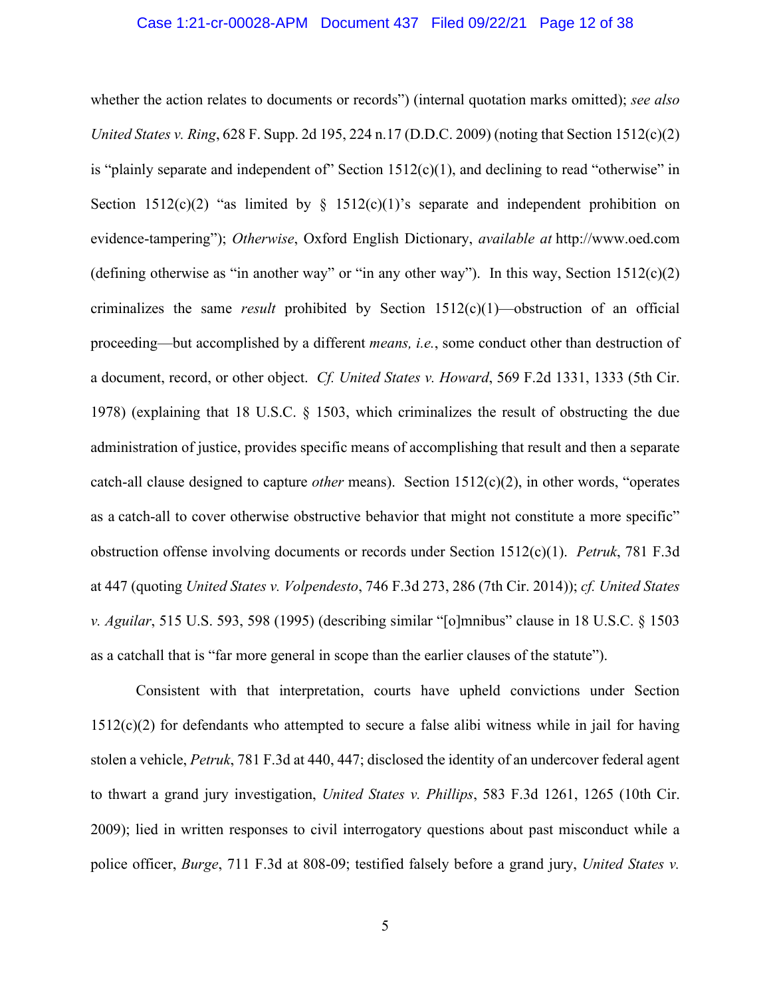whether the action relates to documents or records") (internal quotation marks omitted); *see also United States v. Ring*, 628 F. Supp. 2d 195, 224 n.17 (D.D.C. 2009) (noting that Section 1512(c)(2) is "plainly separate and independent of" Section  $1512(c)(1)$ , and declining to read "otherwise" in Section  $1512(c)(2)$  "as limited by §  $1512(c)(1)$ " s separate and independent prohibition on evidence-tampering"); *Otherwise*, Oxford English Dictionary, *available at* http://www.oed.com (defining otherwise as "in another way" or "in any other way"). In this way, Section  $1512(c)(2)$ criminalizes the same *result* prohibited by Section 1512(c)(1)—obstruction of an official proceeding—but accomplished by a different *means, i.e.*, some conduct other than destruction of a document, record, or other object. *Cf. United States v. Howard*, 569 F.2d 1331, 1333 (5th Cir. 1978) (explaining that 18 U.S.C. § 1503, which criminalizes the result of obstructing the due administration of justice, provides specific means of accomplishing that result and then a separate catch-all clause designed to capture *other* means). Section 1512(c)(2), in other words, "operates as a catch-all to cover otherwise obstructive behavior that might not constitute a more specific" obstruction offense involving documents or records under Section 1512(c)(1). *Petruk*, 781 F.3d at 447 (quoting *United States v. Volpendesto*, 746 F.3d 273, 286 (7th Cir. 2014)); *cf. United States v. Aguilar*, 515 U.S. 593, 598 (1995) (describing similar "[o]mnibus" clause in 18 U.S.C. § 1503 as a catchall that is "far more general in scope than the earlier clauses of the statute").

Consistent with that interpretation, courts have upheld convictions under Section  $1512(c)(2)$  for defendants who attempted to secure a false alibi witness while in jail for having stolen a vehicle, *Petruk*, 781 F.3d at 440, 447; disclosed the identity of an undercover federal agent to thwart a grand jury investigation, *United States v. Phillips*, 583 F.3d 1261, 1265 (10th Cir. 2009); lied in written responses to civil interrogatory questions about past misconduct while a police officer, *Burge*, 711 F.3d at 808-09; testified falsely before a grand jury, *United States v.*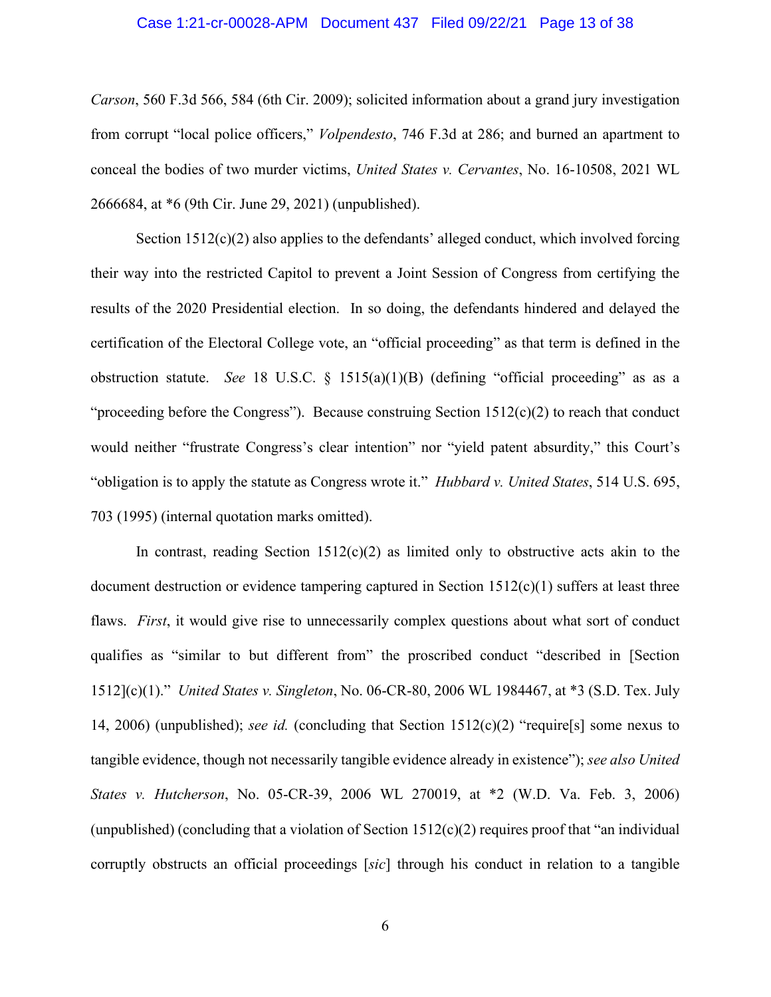#### Case 1:21-cr-00028-APM Document 437 Filed 09/22/21 Page 13 of 38

*Carson*, 560 F.3d 566, 584 (6th Cir. 2009); solicited information about a grand jury investigation from corrupt "local police officers," *Volpendesto*, 746 F.3d at 286; and burned an apartment to conceal the bodies of two murder victims, *United States v. Cervantes*, No. 16-10508, 2021 WL 2666684, at \*6 (9th Cir. June 29, 2021) (unpublished).

Section  $1512(c)(2)$  also applies to the defendants' alleged conduct, which involved forcing their way into the restricted Capitol to prevent a Joint Session of Congress from certifying the results of the 2020 Presidential election. In so doing, the defendants hindered and delayed the certification of the Electoral College vote, an "official proceeding" as that term is defined in the obstruction statute. *See* 18 U.S.C. § 1515(a)(1)(B) (defining "official proceeding" as as a "proceeding before the Congress"). Because construing Section  $1512(c)(2)$  to reach that conduct would neither "frustrate Congress's clear intention" nor "yield patent absurdity," this Court's "obligation is to apply the statute as Congress wrote it." *Hubbard v. United States*, 514 U.S. 695, 703 (1995) (internal quotation marks omitted).

In contrast, reading Section  $1512(c)(2)$  as limited only to obstructive acts akin to the document destruction or evidence tampering captured in Section  $1512(c)(1)$  suffers at least three flaws. *First*, it would give rise to unnecessarily complex questions about what sort of conduct qualifies as "similar to but different from" the proscribed conduct "described in [Section 1512](c)(1)." *United States v. Singleton*, No. 06-CR-80, 2006 WL 1984467, at \*3 (S.D. Tex. July 14, 2006) (unpublished); *see id.* (concluding that Section 1512(c)(2) "require[s] some nexus to tangible evidence, though not necessarily tangible evidence already in existence"); *see also United States v. Hutcherson*, No. 05-CR-39, 2006 WL 270019, at \*2 (W.D. Va. Feb. 3, 2006) (unpublished) (concluding that a violation of Section  $1512(c)(2)$  requires proof that "an individual corruptly obstructs an official proceedings [*sic*] through his conduct in relation to a tangible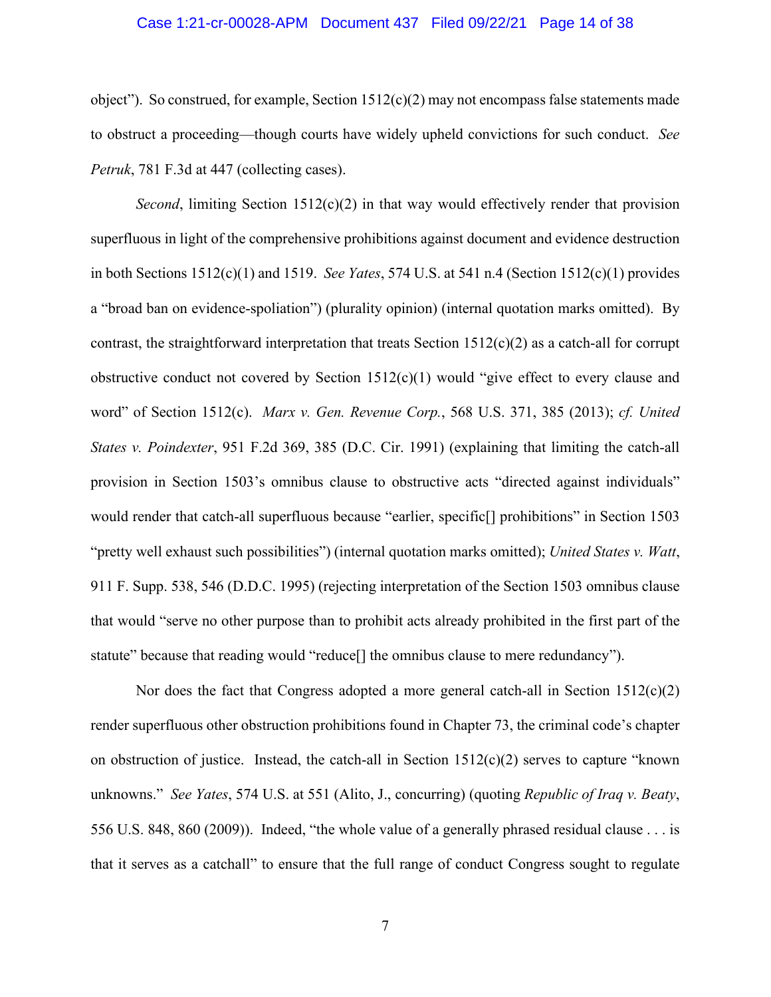#### Case 1:21-cr-00028-APM Document 437 Filed 09/22/21 Page 14 of 38

object"). So construed, for example, Section  $1512(c)(2)$  may not encompass false statements made to obstruct a proceeding—though courts have widely upheld convictions for such conduct. *See Petruk*, 781 F.3d at 447 (collecting cases).

*Second*, limiting Section 1512(c)(2) in that way would effectively render that provision superfluous in light of the comprehensive prohibitions against document and evidence destruction in both Sections 1512(c)(1) and 1519. *See Yates*, 574 U.S. at 541 n.4 (Section 1512(c)(1) provides a "broad ban on evidence-spoliation") (plurality opinion) (internal quotation marks omitted). By contrast, the straightforward interpretation that treats Section  $1512(c)(2)$  as a catch-all for corrupt obstructive conduct not covered by Section 1512(c)(1) would "give effect to every clause and word" of Section 1512(c). *Marx v. Gen. Revenue Corp.*, 568 U.S. 371, 385 (2013); *cf. United States v. Poindexter*, 951 F.2d 369, 385 (D.C. Cir. 1991) (explaining that limiting the catch-all provision in Section 1503's omnibus clause to obstructive acts "directed against individuals" would render that catch-all superfluous because "earlier, specific[] prohibitions" in Section 1503 "pretty well exhaust such possibilities") (internal quotation marks omitted); *United States v. Watt*, 911 F. Supp. 538, 546 (D.D.C. 1995) (rejecting interpretation of the Section 1503 omnibus clause that would "serve no other purpose than to prohibit acts already prohibited in the first part of the statute" because that reading would "reduce[] the omnibus clause to mere redundancy").

Nor does the fact that Congress adopted a more general catch-all in Section  $1512(c)(2)$ render superfluous other obstruction prohibitions found in Chapter 73, the criminal code's chapter on obstruction of justice. Instead, the catch-all in Section 1512(c)(2) serves to capture "known unknowns." *See Yates*, 574 U.S. at 551 (Alito, J., concurring) (quoting *Republic of Iraq v. Beaty*, 556 U.S. 848, 860 (2009)). Indeed, "the whole value of a generally phrased residual clause . . . is that it serves as a catchall" to ensure that the full range of conduct Congress sought to regulate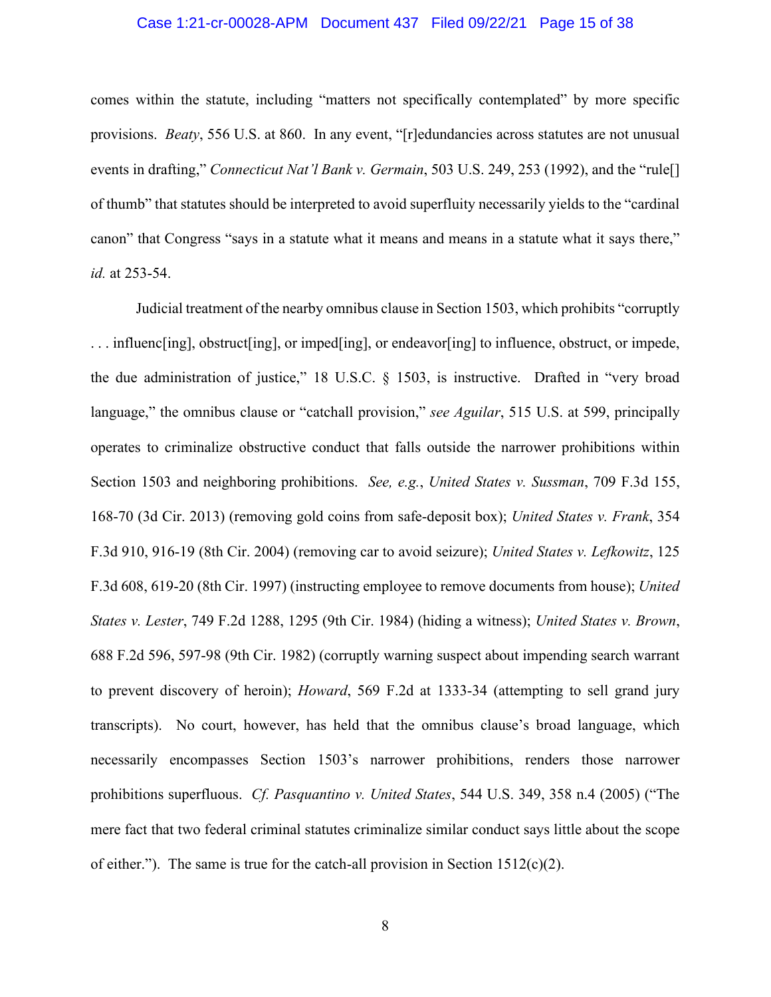#### Case 1:21-cr-00028-APM Document 437 Filed 09/22/21 Page 15 of 38

comes within the statute, including "matters not specifically contemplated" by more specific provisions. *Beaty*, 556 U.S. at 860. In any event, "[r]edundancies across statutes are not unusual events in drafting," *Connecticut Nat'l Bank v. Germain*, 503 U.S. 249, 253 (1992), and the "rule[] of thumb" that statutes should be interpreted to avoid superfluity necessarily yields to the "cardinal canon" that Congress "says in a statute what it means and means in a statute what it says there," *id.* at 253-54.

Judicial treatment of the nearby omnibus clause in Section 1503, which prohibits "corruptly . . . influenc[ing], obstruct[ing], or imped[ing], or endeavor[ing] to influence, obstruct, or impede, the due administration of justice," 18 U.S.C. § 1503, is instructive. Drafted in "very broad language," the omnibus clause or "catchall provision," *see Aguilar*, 515 U.S. at 599, principally operates to criminalize obstructive conduct that falls outside the narrower prohibitions within Section 1503 and neighboring prohibitions. *See, e.g.*, *United States v. Sussman*, 709 F.3d 155, 168-70 (3d Cir. 2013) (removing gold coins from safe-deposit box); *United States v. Frank*, 354 F.3d 910, 916-19 (8th Cir. 2004) (removing car to avoid seizure); *United States v. Lefkowitz*, 125 F.3d 608, 619-20 (8th Cir. 1997) (instructing employee to remove documents from house); *United States v. Lester*, 749 F.2d 1288, 1295 (9th Cir. 1984) (hiding a witness); *United States v. Brown*, 688 F.2d 596, 597-98 (9th Cir. 1982) (corruptly warning suspect about impending search warrant to prevent discovery of heroin); *Howard*, 569 F.2d at 1333-34 (attempting to sell grand jury transcripts). No court, however, has held that the omnibus clause's broad language, which necessarily encompasses Section 1503's narrower prohibitions, renders those narrower prohibitions superfluous. *Cf. Pasquantino v. United States*, 544 U.S. 349, 358 n.4 (2005) ("The mere fact that two federal criminal statutes criminalize similar conduct says little about the scope of either."). The same is true for the catch-all provision in Section 1512(c)(2).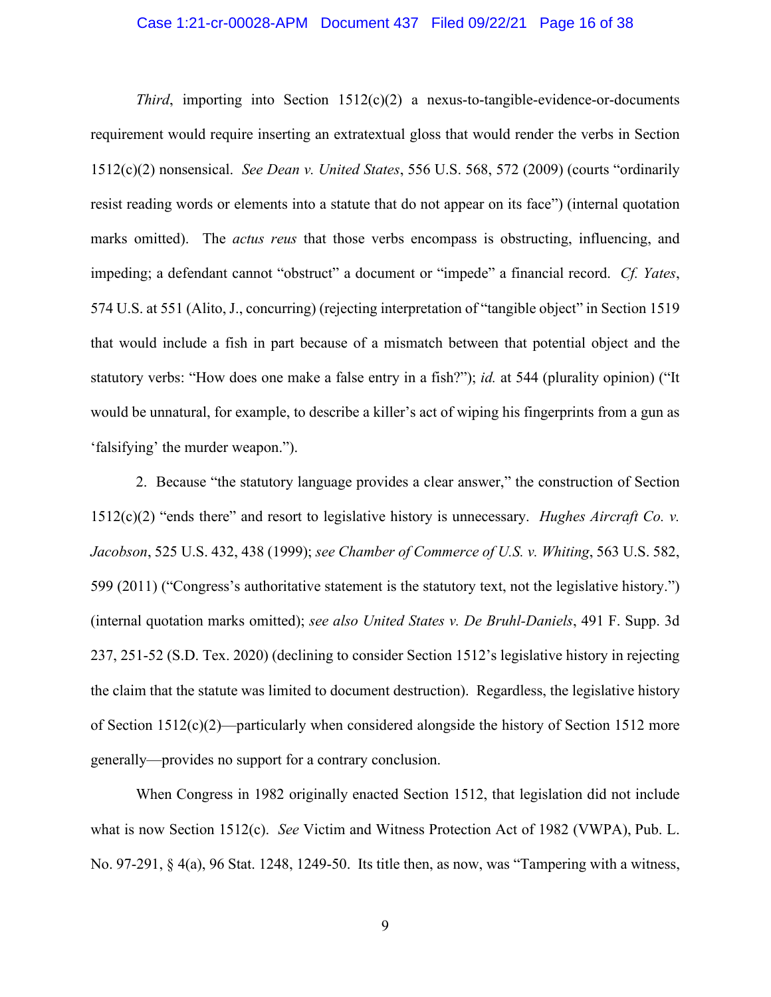#### Case 1:21-cr-00028-APM Document 437 Filed 09/22/21 Page 16 of 38

*Third*, importing into Section  $1512(c)(2)$  a nexus-to-tangible-evidence-or-documents requirement would require inserting an extratextual gloss that would render the verbs in Section 1512(c)(2) nonsensical. *See Dean v. United States*, 556 U.S. 568, 572 (2009) (courts "ordinarily resist reading words or elements into a statute that do not appear on its face") (internal quotation marks omitted). The *actus reus* that those verbs encompass is obstructing, influencing, and impeding; a defendant cannot "obstruct" a document or "impede" a financial record. *Cf. Yates*, 574 U.S. at 551 (Alito, J., concurring) (rejecting interpretation of "tangible object" in Section 1519 that would include a fish in part because of a mismatch between that potential object and the statutory verbs: "How does one make a false entry in a fish?"); *id.* at 544 (plurality opinion) ("It would be unnatural, for example, to describe a killer's act of wiping his fingerprints from a gun as 'falsifying' the murder weapon.").

2. Because "the statutory language provides a clear answer," the construction of Section 1512(c)(2) "ends there" and resort to legislative history is unnecessary. *Hughes Aircraft Co. v. Jacobson*, 525 U.S. 432, 438 (1999); *see Chamber of Commerce of U.S. v. Whiting*, 563 U.S. 582, 599 (2011) ("Congress's authoritative statement is the statutory text, not the legislative history.") (internal quotation marks omitted); *see also United States v. De Bruhl-Daniels*, 491 F. Supp. 3d 237, 251-52 (S.D. Tex. 2020) (declining to consider Section 1512's legislative history in rejecting the claim that the statute was limited to document destruction). Regardless, the legislative history of Section  $1512(c)(2)$ —particularly when considered alongside the history of Section 1512 more generally—provides no support for a contrary conclusion.

When Congress in 1982 originally enacted Section 1512, that legislation did not include what is now Section 1512(c). *See* Victim and Witness Protection Act of 1982 (VWPA), Pub. L. No. 97-291, § 4(a), 96 Stat. 1248, 1249-50. Its title then, as now, was "Tampering with a witness,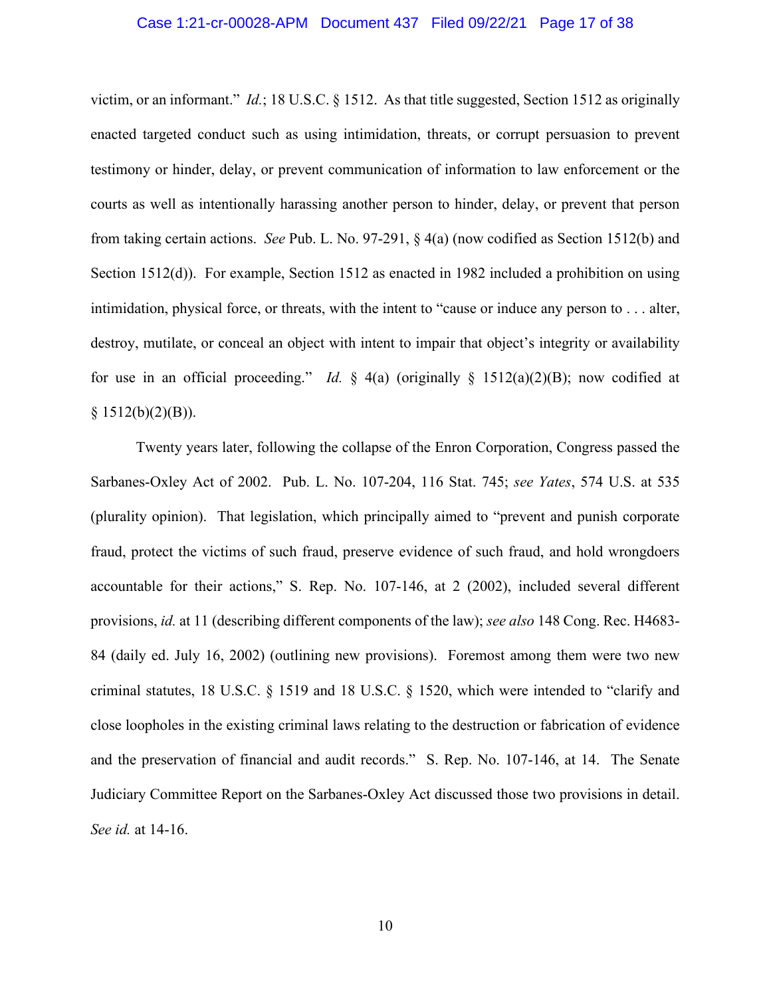#### Case 1:21-cr-00028-APM Document 437 Filed 09/22/21 Page 17 of 38

victim, or an informant." *Id.*; 18 U.S.C. § 1512. As that title suggested, Section 1512 as originally enacted targeted conduct such as using intimidation, threats, or corrupt persuasion to prevent testimony or hinder, delay, or prevent communication of information to law enforcement or the courts as well as intentionally harassing another person to hinder, delay, or prevent that person from taking certain actions. *See* Pub. L. No. 97-291, § 4(a) (now codified as Section 1512(b) and Section 1512(d)). For example, Section 1512 as enacted in 1982 included a prohibition on using intimidation, physical force, or threats, with the intent to "cause or induce any person to . . . alter, destroy, mutilate, or conceal an object with intent to impair that object's integrity or availability for use in an official proceeding." *Id.* § 4(a) (originally § 1512(a)(2)(B); now codified at  $§ 1512(b)(2)(B)).$ 

Twenty years later, following the collapse of the Enron Corporation, Congress passed the Sarbanes-Oxley Act of 2002. Pub. L. No. 107-204, 116 Stat. 745; *see Yates*, 574 U.S. at 535 (plurality opinion). That legislation, which principally aimed to "prevent and punish corporate fraud, protect the victims of such fraud, preserve evidence of such fraud, and hold wrongdoers accountable for their actions," S. Rep. No. 107-146, at 2 (2002), included several different provisions, *id.* at 11 (describing different components of the law); *see also* 148 Cong. Rec. H4683- 84 (daily ed. July 16, 2002) (outlining new provisions). Foremost among them were two new criminal statutes, 18 U.S.C. § 1519 and 18 U.S.C. § 1520, which were intended to "clarify and close loopholes in the existing criminal laws relating to the destruction or fabrication of evidence and the preservation of financial and audit records." S. Rep. No. 107-146, at 14. The Senate Judiciary Committee Report on the Sarbanes-Oxley Act discussed those two provisions in detail. *See id.* at 14-16.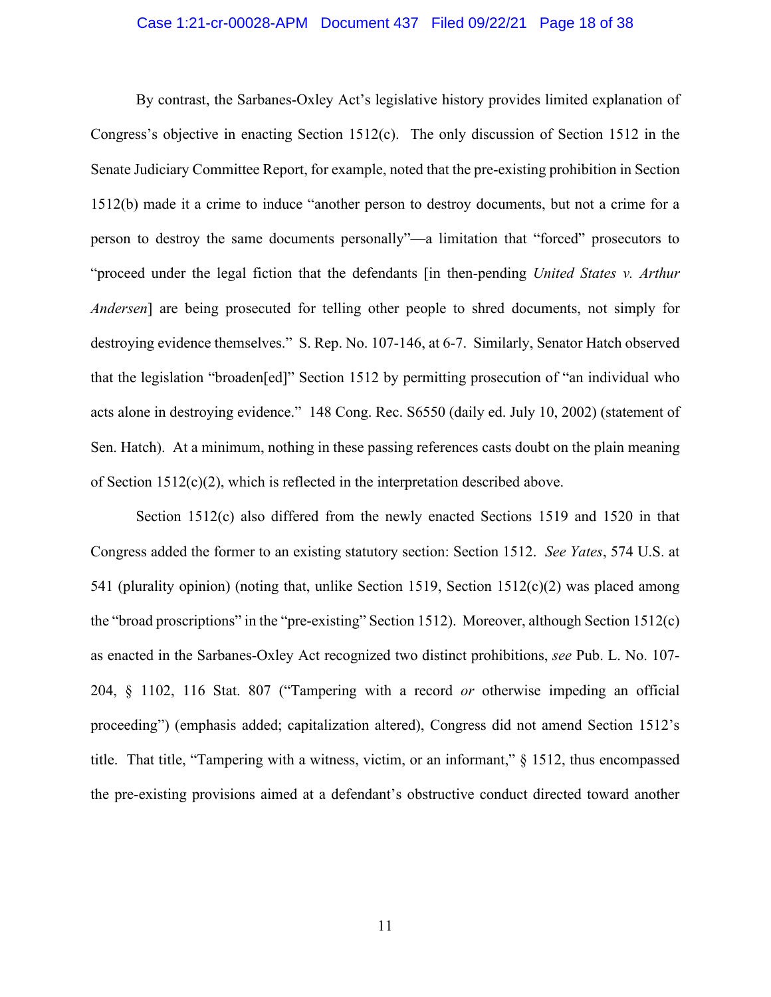#### Case 1:21-cr-00028-APM Document 437 Filed 09/22/21 Page 18 of 38

By contrast, the Sarbanes-Oxley Act's legislative history provides limited explanation of Congress's objective in enacting Section 1512(c). The only discussion of Section 1512 in the Senate Judiciary Committee Report, for example, noted that the pre-existing prohibition in Section 1512(b) made it a crime to induce "another person to destroy documents, but not a crime for a person to destroy the same documents personally"—a limitation that "forced" prosecutors to "proceed under the legal fiction that the defendants [in then-pending *United States v. Arthur Andersen*] are being prosecuted for telling other people to shred documents, not simply for destroying evidence themselves." S. Rep. No. 107-146, at 6-7. Similarly, Senator Hatch observed that the legislation "broaden[ed]" Section 1512 by permitting prosecution of "an individual who acts alone in destroying evidence." 148 Cong. Rec. S6550 (daily ed. July 10, 2002) (statement of Sen. Hatch). At a minimum, nothing in these passing references casts doubt on the plain meaning of Section  $1512(c)(2)$ , which is reflected in the interpretation described above.

Section 1512(c) also differed from the newly enacted Sections 1519 and 1520 in that Congress added the former to an existing statutory section: Section 1512. *See Yates*, 574 U.S. at 541 (plurality opinion) (noting that, unlike Section 1519, Section 1512(c)(2) was placed among the "broad proscriptions" in the "pre-existing" Section 1512). Moreover, although Section 1512(c) as enacted in the Sarbanes-Oxley Act recognized two distinct prohibitions, *see* Pub. L. No. 107- 204, § 1102, 116 Stat. 807 ("Tampering with a record *or* otherwise impeding an official proceeding") (emphasis added; capitalization altered), Congress did not amend Section 1512's title. That title, "Tampering with a witness, victim, or an informant," § 1512, thus encompassed the pre-existing provisions aimed at a defendant's obstructive conduct directed toward another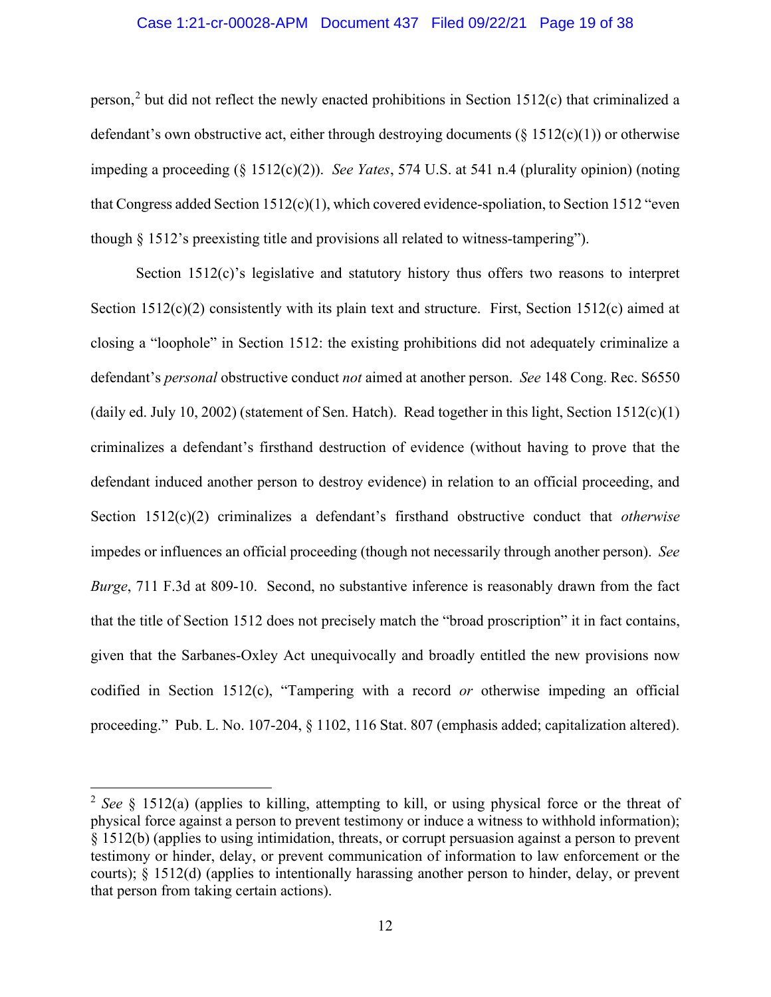#### Case 1:21-cr-00028-APM Document 437 Filed 09/22/21 Page 19 of 38

person,<sup>2</sup> but did not reflect the newly enacted prohibitions in Section 1512(c) that criminalized a defendant's own obstructive act, either through destroying documents ( $\S 1512(c)(1)$ ) or otherwise impeding a proceeding (§ 1512(c)(2)). *See Yates*, 574 U.S. at 541 n.4 (plurality opinion) (noting that Congress added Section 1512(c)(1), which covered evidence-spoliation, to Section 1512 "even though § 1512's preexisting title and provisions all related to witness-tampering").

Section 1512(c)'s legislative and statutory history thus offers two reasons to interpret Section 1512(c)(2) consistently with its plain text and structure. First, Section 1512(c) aimed at closing a "loophole" in Section 1512: the existing prohibitions did not adequately criminalize a defendant's *personal* obstructive conduct *not* aimed at another person. *See* 148 Cong. Rec. S6550 (daily ed. July 10, 2002) (statement of Sen. Hatch). Read together in this light, Section  $1512(c)(1)$ criminalizes a defendant's firsthand destruction of evidence (without having to prove that the defendant induced another person to destroy evidence) in relation to an official proceeding, and Section 1512(c)(2) criminalizes a defendant's firsthand obstructive conduct that *otherwise* impedes or influences an official proceeding (though not necessarily through another person). *See Burge*, 711 F.3d at 809-10. Second, no substantive inference is reasonably drawn from the fact that the title of Section 1512 does not precisely match the "broad proscription" it in fact contains, given that the Sarbanes-Oxley Act unequivocally and broadly entitled the new provisions now codified in Section 1512(c), "Tampering with a record *or* otherwise impeding an official proceeding." Pub. L. No. 107-204, § 1102, 116 Stat. 807 (emphasis added; capitalization altered).

<sup>2</sup> *See* § 1512(a) (applies to killing, attempting to kill, or using physical force or the threat of physical force against a person to prevent testimony or induce a witness to withhold information); § 1512(b) (applies to using intimidation, threats, or corrupt persuasion against a person to prevent testimony or hinder, delay, or prevent communication of information to law enforcement or the courts); § 1512(d) (applies to intentionally harassing another person to hinder, delay, or prevent that person from taking certain actions).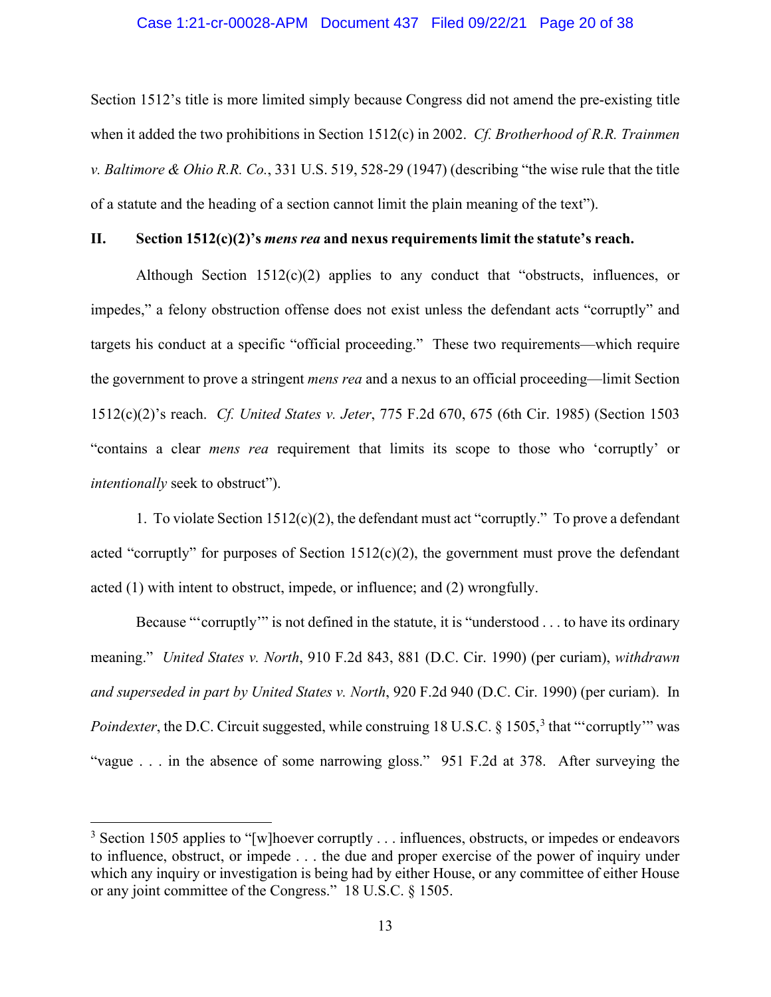#### Case 1:21-cr-00028-APM Document 437 Filed 09/22/21 Page 20 of 38

Section 1512's title is more limited simply because Congress did not amend the pre-existing title when it added the two prohibitions in Section 1512(c) in 2002. *Cf. Brotherhood of R.R. Trainmen v. Baltimore & Ohio R.R. Co.*, 331 U.S. 519, 528-29 (1947) (describing "the wise rule that the title of a statute and the heading of a section cannot limit the plain meaning of the text").

#### **II. Section 1512(c)(2)'s** *mens rea* **and nexus requirements limit the statute's reach.**

Although Section  $1512(c)(2)$  applies to any conduct that "obstructs, influences, or impedes," a felony obstruction offense does not exist unless the defendant acts "corruptly" and targets his conduct at a specific "official proceeding." These two requirements—which require the government to prove a stringent *mens rea* and a nexus to an official proceeding—limit Section 1512(c)(2)'s reach. *Cf. United States v. Jeter*, 775 F.2d 670, 675 (6th Cir. 1985) (Section 1503 "contains a clear *mens rea* requirement that limits its scope to those who 'corruptly' or *intentionally* seek to obstruct").

1. To violate Section 1512(c)(2), the defendant must act "corruptly." To prove a defendant acted "corruptly" for purposes of Section  $1512(c)(2)$ , the government must prove the defendant acted (1) with intent to obstruct, impede, or influence; and (2) wrongfully.

Because "'corruptly'" is not defined in the statute, it is "understood . . . to have its ordinary meaning." *United States v. North*, 910 F.2d 843, 881 (D.C. Cir. 1990) (per curiam), *withdrawn and superseded in part by United States v. North*, 920 F.2d 940 (D.C. Cir. 1990) (per curiam). In Poindexter, the D.C. Circuit suggested, while construing 18 U.S.C. § 1505,<sup>3</sup> that "'corruptly'" was "vague . . . in the absence of some narrowing gloss." 951 F.2d at 378. After surveying the

 $3$  Section 1505 applies to "[w]hoever corruptly . . . influences, obstructs, or impedes or endeavors to influence, obstruct, or impede . . . the due and proper exercise of the power of inquiry under which any inquiry or investigation is being had by either House, or any committee of either House or any joint committee of the Congress." 18 U.S.C. § 1505.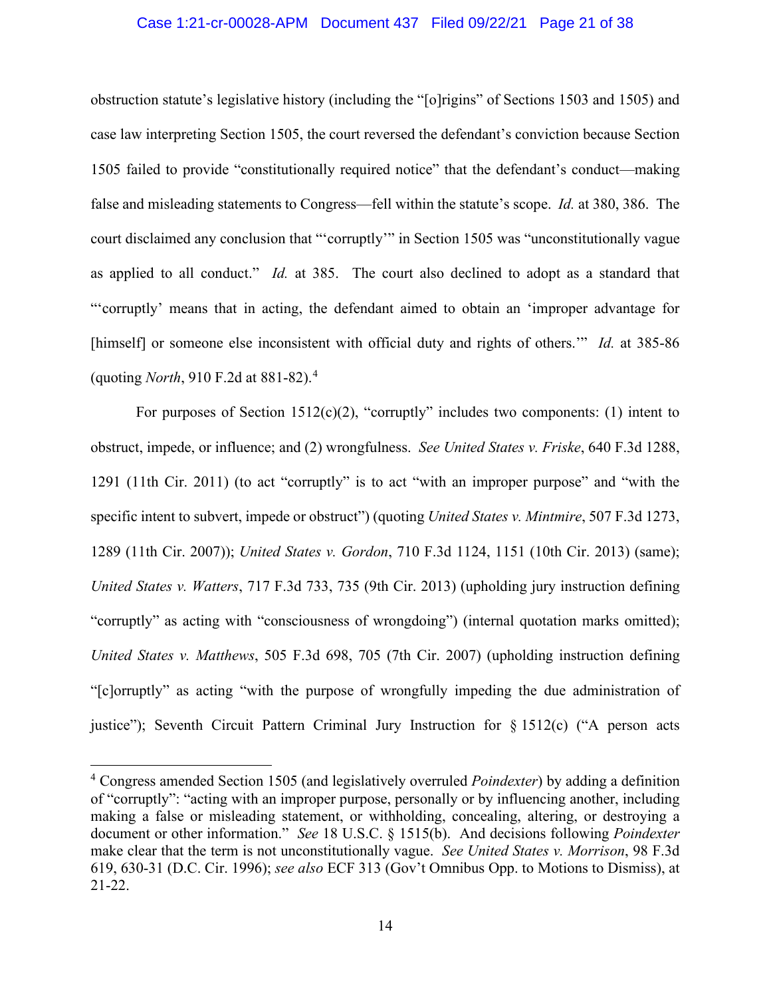#### Case 1:21-cr-00028-APM Document 437 Filed 09/22/21 Page 21 of 38

obstruction statute's legislative history (including the "[o]rigins" of Sections 1503 and 1505) and case law interpreting Section 1505, the court reversed the defendant's conviction because Section 1505 failed to provide "constitutionally required notice" that the defendant's conduct—making false and misleading statements to Congress—fell within the statute's scope. *Id.* at 380, 386. The court disclaimed any conclusion that "'corruptly'" in Section 1505 was "unconstitutionally vague as applied to all conduct." *Id.* at 385. The court also declined to adopt as a standard that "'corruptly' means that in acting, the defendant aimed to obtain an 'improper advantage for [himself] or someone else inconsistent with official duty and rights of others.'" *Id.* at 385-86 (quoting *North*, 910 F.2d at 881-82).<sup>4</sup>

For purposes of Section  $1512(c)(2)$ , "corruptly" includes two components: (1) intent to obstruct, impede, or influence; and (2) wrongfulness. *See United States v. Friske*, 640 F.3d 1288, 1291 (11th Cir. 2011) (to act "corruptly" is to act "with an improper purpose" and "with the specific intent to subvert, impede or obstruct") (quoting *United States v. Mintmire*, 507 F.3d 1273, 1289 (11th Cir. 2007)); *United States v. Gordon*, 710 F.3d 1124, 1151 (10th Cir. 2013) (same); *United States v. Watters*, 717 F.3d 733, 735 (9th Cir. 2013) (upholding jury instruction defining "corruptly" as acting with "consciousness of wrongdoing") (internal quotation marks omitted); *United States v. Matthews*, 505 F.3d 698, 705 (7th Cir. 2007) (upholding instruction defining "[c]orruptly" as acting "with the purpose of wrongfully impeding the due administration of justice"); Seventh Circuit Pattern Criminal Jury Instruction for  $\S 1512(c)$  ("A person acts

<sup>4</sup> Congress amended Section 1505 (and legislatively overruled *Poindexter*) by adding a definition of "corruptly": "acting with an improper purpose, personally or by influencing another, including making a false or misleading statement, or withholding, concealing, altering, or destroying a document or other information." *See* 18 U.S.C. § 1515(b). And decisions following *Poindexter* make clear that the term is not unconstitutionally vague. *See United States v. Morrison*, 98 F.3d 619, 630-31 (D.C. Cir. 1996); *see also* ECF 313 (Gov't Omnibus Opp. to Motions to Dismiss), at 21-22.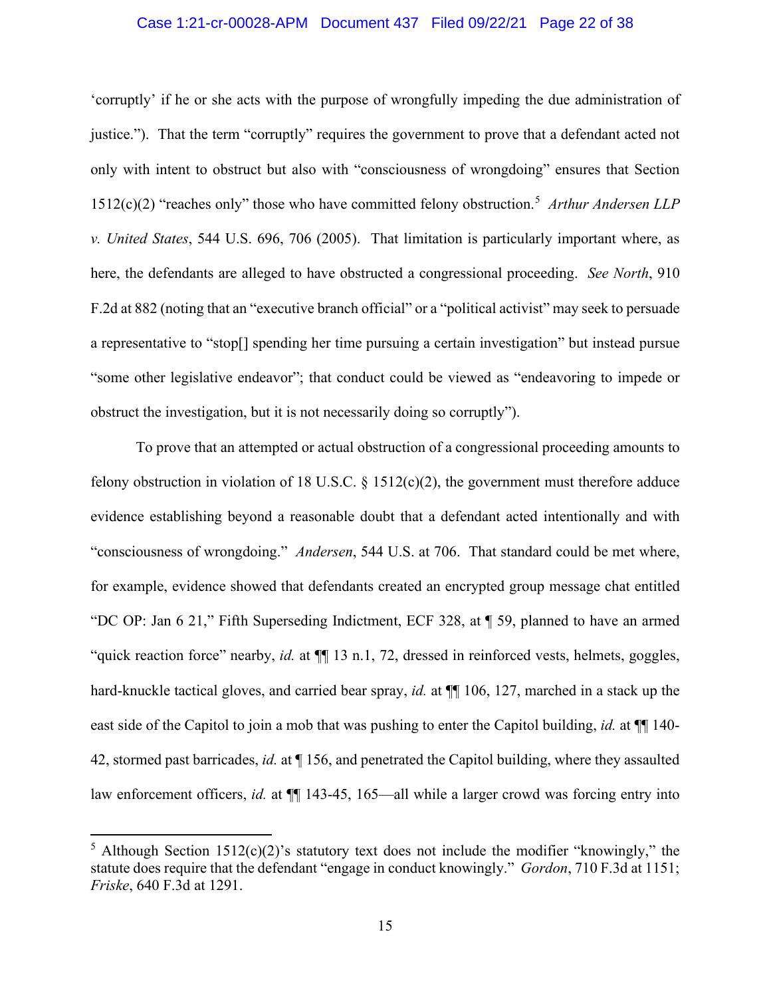#### Case 1:21-cr-00028-APM Document 437 Filed 09/22/21 Page 22 of 38

'corruptly' if he or she acts with the purpose of wrongfully impeding the due administration of justice."). That the term "corruptly" requires the government to prove that a defendant acted not only with intent to obstruct but also with "consciousness of wrongdoing" ensures that Section 1512(c)(2) "reaches only" those who have committed felony obstruction.<sup>5</sup> *Arthur Andersen LLP v. United States*, 544 U.S. 696, 706 (2005). That limitation is particularly important where, as here, the defendants are alleged to have obstructed a congressional proceeding. *See North*, 910 F.2d at 882 (noting that an "executive branch official" or a "political activist" may seek to persuade a representative to "stop[] spending her time pursuing a certain investigation" but instead pursue "some other legislative endeavor"; that conduct could be viewed as "endeavoring to impede or obstruct the investigation, but it is not necessarily doing so corruptly").

To prove that an attempted or actual obstruction of a congressional proceeding amounts to felony obstruction in violation of 18 U.S.C.  $\S$  1512(c)(2), the government must therefore adduce evidence establishing beyond a reasonable doubt that a defendant acted intentionally and with "consciousness of wrongdoing." *Andersen*, 544 U.S. at 706. That standard could be met where, for example, evidence showed that defendants created an encrypted group message chat entitled "DC OP: Jan 6 21," Fifth Superseding Indictment, ECF 328, at ¶ 59, planned to have an armed "quick reaction force" nearby, *id.* at  $\P$ [13 n.1, 72, dressed in reinforced vests, helmets, goggles, hard-knuckle tactical gloves, and carried bear spray, *id.* at  $\P$  106, 127, marched in a stack up the east side of the Capitol to join a mob that was pushing to enter the Capitol building, *id.* at  $\P$  140-42, stormed past barricades, *id.* at ¶ 156, and penetrated the Capitol building, where they assaulted law enforcement officers, *id.* at  $\P$  143-45, 165—all while a larger crowd was forcing entry into

<sup>&</sup>lt;sup>5</sup> Although Section 1512(c)(2)'s statutory text does not include the modifier "knowingly," the statute does require that the defendant "engage in conduct knowingly." *Gordon*, 710 F.3d at 1151; *Friske*, 640 F.3d at 1291.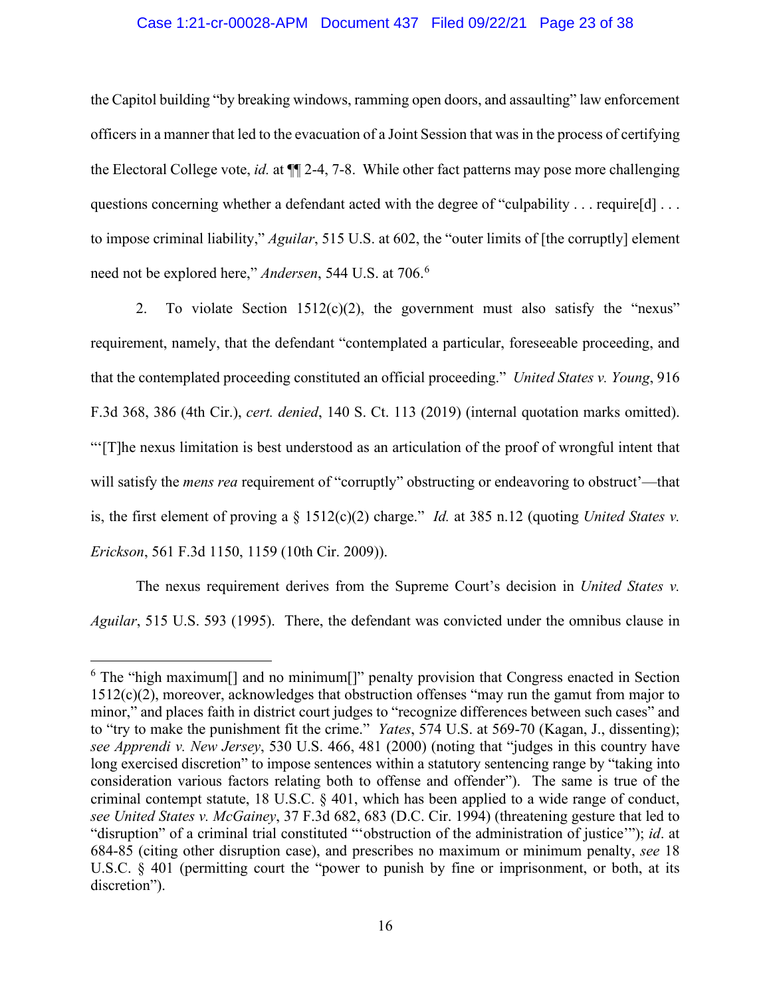#### Case 1:21-cr-00028-APM Document 437 Filed 09/22/21 Page 23 of 38

the Capitol building "by breaking windows, ramming open doors, and assaulting" law enforcement officers in a manner that led to the evacuation of a Joint Session that wasin the process of certifying the Electoral College vote, *id.* at ¶¶ 2-4, 7-8. While other fact patterns may pose more challenging questions concerning whether a defendant acted with the degree of "culpability . . . require[d] . . . to impose criminal liability," *Aguilar*, 515 U.S. at 602, the "outer limits of [the corruptly] element need not be explored here," *Andersen*, 544 U.S. at 706.<sup>6</sup>

2. To violate Section  $1512(c)(2)$ , the government must also satisfy the "nexus" requirement, namely, that the defendant "contemplated a particular, foreseeable proceeding, and that the contemplated proceeding constituted an official proceeding." *United States v. Young*, 916 F.3d 368, 386 (4th Cir.), *cert. denied*, 140 S. Ct. 113 (2019) (internal quotation marks omitted). "'[T]he nexus limitation is best understood as an articulation of the proof of wrongful intent that will satisfy the *mens rea* requirement of "corruptly" obstructing or endeavoring to obstruct'—that is, the first element of proving a § 1512(c)(2) charge." *Id.* at 385 n.12 (quoting *United States v. Erickson*, 561 F.3d 1150, 1159 (10th Cir. 2009)).

The nexus requirement derives from the Supreme Court's decision in *United States v. Aguilar*, 515 U.S. 593 (1995). There, the defendant was convicted under the omnibus clause in

<sup>&</sup>lt;sup>6</sup> The "high maximum<sup>[]</sup> and no minimum<sup>[]</sup>" penalty provision that Congress enacted in Section 1512(c)(2), moreover, acknowledges that obstruction offenses "may run the gamut from major to minor," and places faith in district court judges to "recognize differences between such cases" and to "try to make the punishment fit the crime." *Yates*, 574 U.S. at 569-70 (Kagan, J., dissenting); *see Apprendi v. New Jersey*, 530 U.S. 466, 481 (2000) (noting that "judges in this country have long exercised discretion" to impose sentences within a statutory sentencing range by "taking into consideration various factors relating both to offense and offender").The same is true of the criminal contempt statute, 18 U.S.C. § 401, which has been applied to a wide range of conduct, *see United States v. McGainey*, 37 F.3d 682, 683 (D.C. Cir. 1994) (threatening gesture that led to "disruption" of a criminal trial constituted "'obstruction of the administration of justice'"); *id*. at 684-85 (citing other disruption case), and prescribes no maximum or minimum penalty, *see* 18 U.S.C. § 401 (permitting court the "power to punish by fine or imprisonment, or both, at its discretion").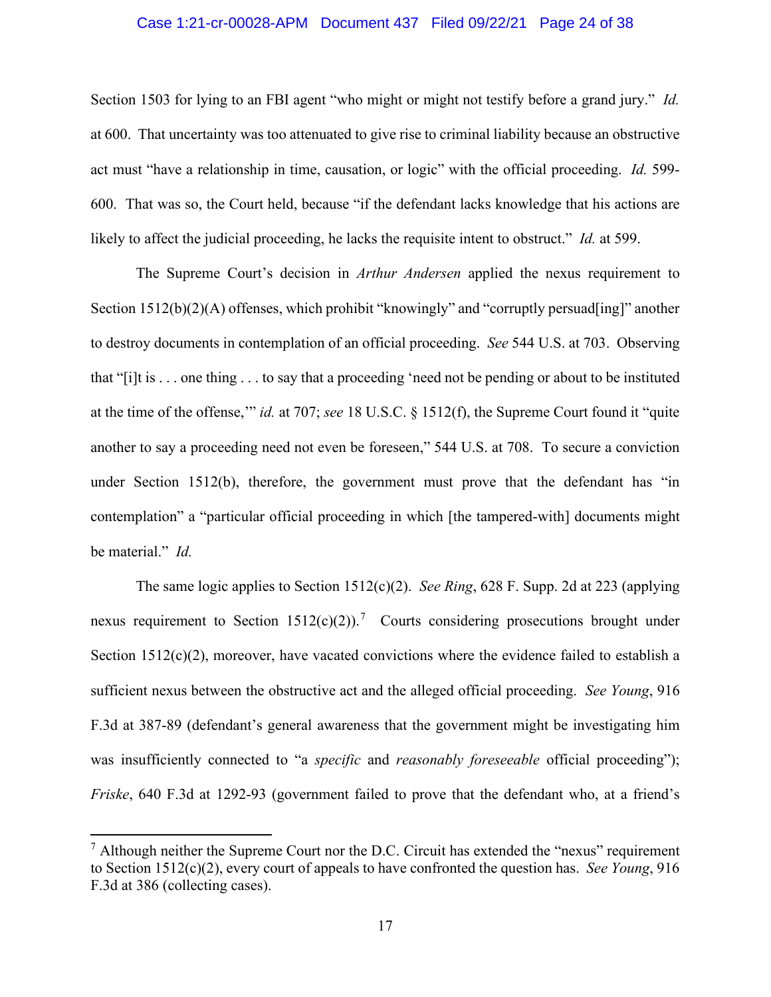#### Case 1:21-cr-00028-APM Document 437 Filed 09/22/21 Page 24 of 38

Section 1503 for lying to an FBI agent "who might or might not testify before a grand jury." *Id.* at 600. That uncertainty was too attenuated to give rise to criminal liability because an obstructive act must "have a relationship in time, causation, or logic" with the official proceeding. *Id.* 599- 600. That was so, the Court held, because "if the defendant lacks knowledge that his actions are likely to affect the judicial proceeding, he lacks the requisite intent to obstruct." *Id.* at 599.

The Supreme Court's decision in *Arthur Andersen* applied the nexus requirement to Section 1512(b)(2)(A) offenses, which prohibit "knowingly" and "corruptly persuad[ing]" another to destroy documents in contemplation of an official proceeding. *See* 544 U.S. at 703. Observing that "[i]t is . . . one thing . . . to say that a proceeding 'need not be pending or about to be instituted at the time of the offense,'" *id.* at 707; *see* 18 U.S.C. § 1512(f), the Supreme Court found it "quite another to say a proceeding need not even be foreseen," 544 U.S. at 708. To secure a conviction under Section 1512(b), therefore, the government must prove that the defendant has "in contemplation" a "particular official proceeding in which [the tampered-with] documents might be material." *Id.*

The same logic applies to Section 1512(c)(2). *See Ring*, 628 F. Supp. 2d at 223 (applying nexus requirement to Section  $1512(c)(2)$ ).<sup>7</sup> Courts considering prosecutions brought under Section  $1512(c)(2)$ , moreover, have vacated convictions where the evidence failed to establish a sufficient nexus between the obstructive act and the alleged official proceeding. *See Young*, 916 F.3d at 387-89 (defendant's general awareness that the government might be investigating him was insufficiently connected to "a *specific* and *reasonably foreseeable* official proceeding"); *Friske*, 640 F.3d at 1292-93 (government failed to prove that the defendant who, at a friend's

 $<sup>7</sup>$  Although neither the Supreme Court nor the D.C. Circuit has extended the "nexus" requirement</sup> to Section 1512(c)(2), every court of appeals to have confronted the question has. *See Young*, 916 F.3d at 386 (collecting cases).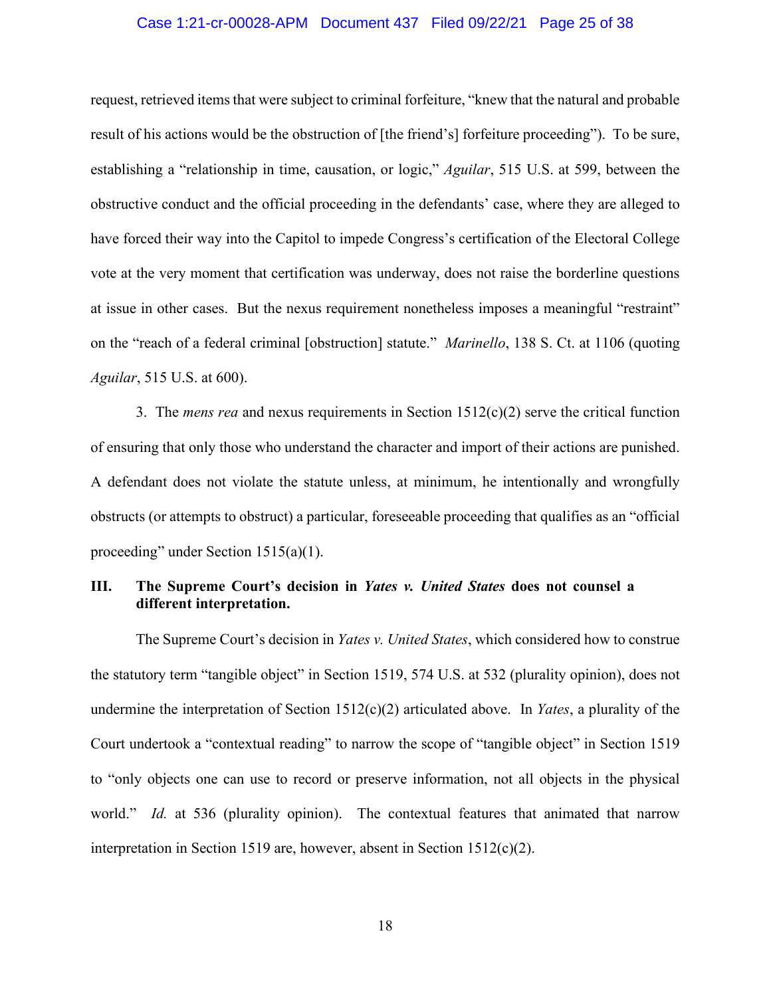#### Case 1:21-cr-00028-APM Document 437 Filed 09/22/21 Page 25 of 38

request, retrieved items that were subject to criminal forfeiture, "knew that the natural and probable result of his actions would be the obstruction of [the friend's] forfeiture proceeding"). To be sure, establishing a "relationship in time, causation, or logic," *Aguilar*, 515 U.S. at 599, between the obstructive conduct and the official proceeding in the defendants' case, where they are alleged to have forced their way into the Capitol to impede Congress's certification of the Electoral College vote at the very moment that certification was underway, does not raise the borderline questions at issue in other cases. But the nexus requirement nonetheless imposes a meaningful "restraint" on the "reach of a federal criminal [obstruction] statute." *Marinello*, 138 S. Ct. at 1106 (quoting *Aguilar*, 515 U.S. at 600).

3. The *mens rea* and nexus requirements in Section 1512(c)(2) serve the critical function of ensuring that only those who understand the character and import of their actions are punished. A defendant does not violate the statute unless, at minimum, he intentionally and wrongfully obstructs (or attempts to obstruct) a particular, foreseeable proceeding that qualifies as an "official proceeding" under Section 1515(a)(1).

## **III. The Supreme Court's decision in** *Yates v. United States* **does not counsel a different interpretation.**

The Supreme Court's decision in *Yates v. United States*, which considered how to construe the statutory term "tangible object" in Section 1519, 574 U.S. at 532 (plurality opinion), does not undermine the interpretation of Section 1512(c)(2) articulated above. In *Yates*, a plurality of the Court undertook a "contextual reading" to narrow the scope of "tangible object" in Section 1519 to "only objects one can use to record or preserve information, not all objects in the physical world." *Id.* at 536 (plurality opinion). The contextual features that animated that narrow interpretation in Section 1519 are, however, absent in Section 1512(c)(2).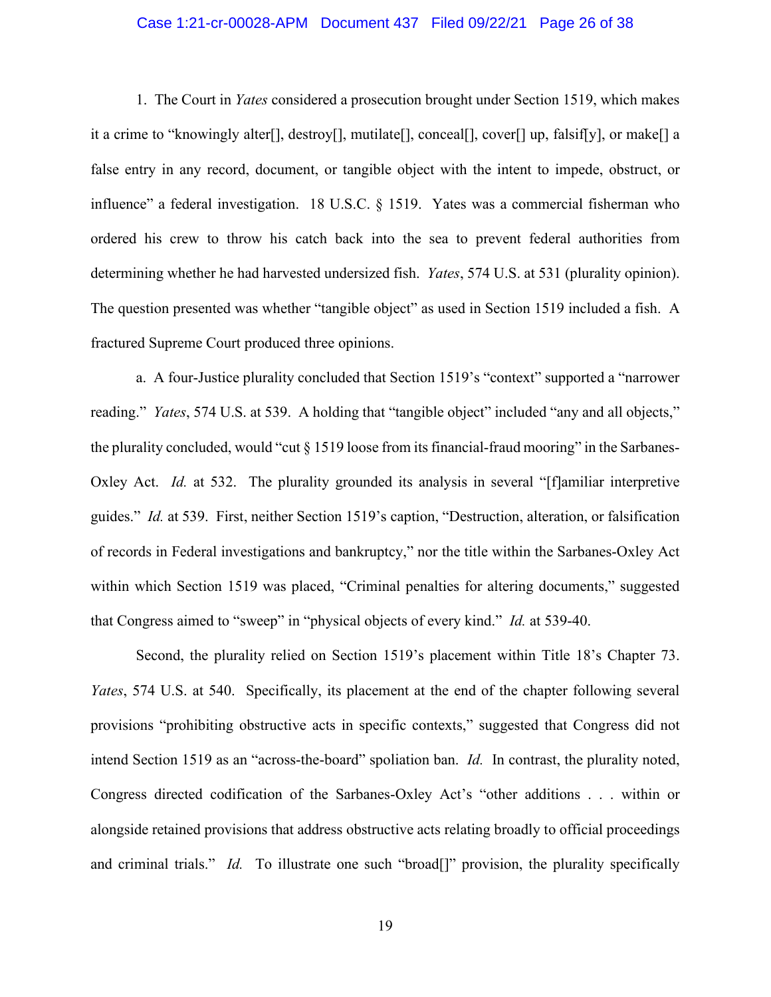#### Case 1:21-cr-00028-APM Document 437 Filed 09/22/21 Page 26 of 38

1. The Court in *Yates* considered a prosecution brought under Section 1519, which makes it a crime to "knowingly alter[], destroy[], mutilate[], conceal[], cover[] up, falsif[y], or make[] a false entry in any record, document, or tangible object with the intent to impede, obstruct, or influence" a federal investigation. 18 U.S.C. § 1519. Yates was a commercial fisherman who ordered his crew to throw his catch back into the sea to prevent federal authorities from determining whether he had harvested undersized fish. *Yates*, 574 U.S. at 531 (plurality opinion). The question presented was whether "tangible object" as used in Section 1519 included a fish. A fractured Supreme Court produced three opinions.

a. A four-Justice plurality concluded that Section 1519's "context" supported a "narrower reading." *Yates*, 574 U.S. at 539. A holding that "tangible object" included "any and all objects," the plurality concluded, would "cut § 1519 loose from its financial-fraud mooring" in the Sarbanes-Oxley Act. *Id.* at 532. The plurality grounded its analysis in several "[f]amiliar interpretive guides." *Id.* at 539. First, neither Section 1519's caption, "Destruction, alteration, or falsification of records in Federal investigations and bankruptcy," nor the title within the Sarbanes-Oxley Act within which Section 1519 was placed, "Criminal penalties for altering documents," suggested that Congress aimed to "sweep" in "physical objects of every kind." *Id.* at 539-40.

Second, the plurality relied on Section 1519's placement within Title 18's Chapter 73. *Yates*, 574 U.S. at 540. Specifically, its placement at the end of the chapter following several provisions "prohibiting obstructive acts in specific contexts," suggested that Congress did not intend Section 1519 as an "across-the-board" spoliation ban. *Id.* In contrast, the plurality noted, Congress directed codification of the Sarbanes-Oxley Act's "other additions . . . within or alongside retained provisions that address obstructive acts relating broadly to official proceedings and criminal trials." *Id.* To illustrate one such "broad<sup>[]</sup>" provision, the plurality specifically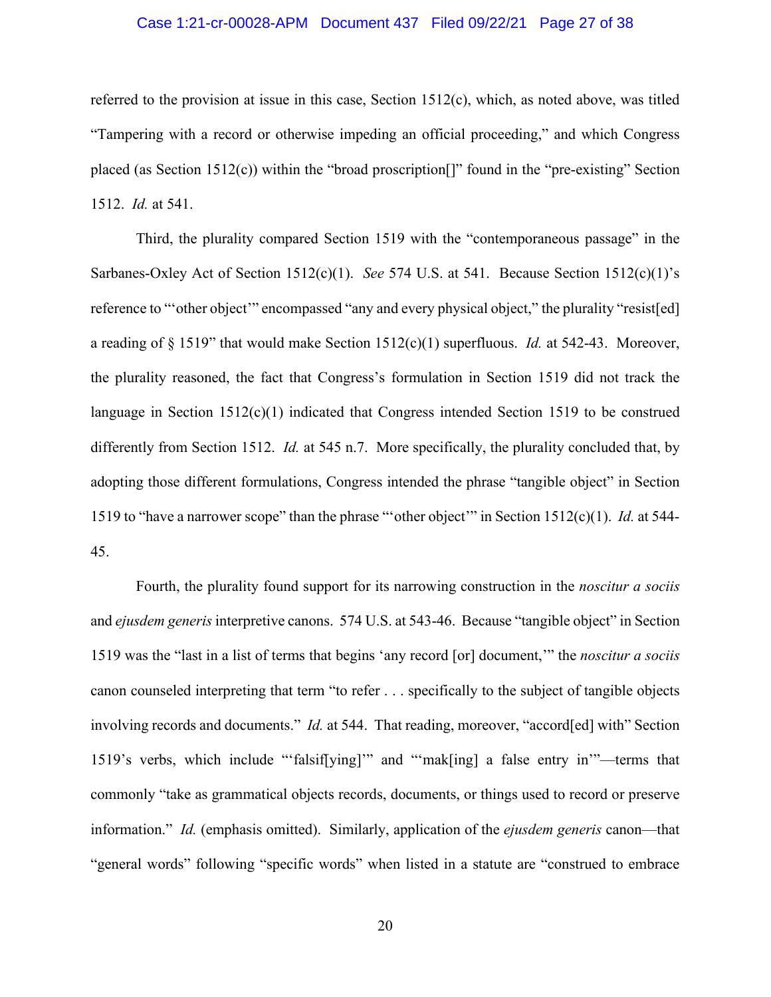#### Case 1:21-cr-00028-APM Document 437 Filed 09/22/21 Page 27 of 38

referred to the provision at issue in this case, Section 1512(c), which, as noted above, was titled "Tampering with a record or otherwise impeding an official proceeding," and which Congress placed (as Section 1512(c)) within the "broad proscription<sup>[]"</sup> found in the "pre-existing" Section 1512. *Id.* at 541.

Third, the plurality compared Section 1519 with the "contemporaneous passage" in the Sarbanes-Oxley Act of Section 1512(c)(1). *See* 574 U.S. at 541. Because Section 1512(c)(1)'s reference to "other object" encompassed "any and every physical object," the plurality "resist[ed] a reading of § 1519" that would make Section 1512(c)(1) superfluous. *Id.* at 542-43. Moreover, the plurality reasoned, the fact that Congress's formulation in Section 1519 did not track the language in Section  $1512(c)(1)$  indicated that Congress intended Section 1519 to be construed differently from Section 1512. *Id.* at 545 n.7. More specifically, the plurality concluded that, by adopting those different formulations, Congress intended the phrase "tangible object" in Section 1519 to "have a narrower scope" than the phrase "'other object'" in Section 1512(c)(1). *Id.* at 544- 45.

Fourth, the plurality found support for its narrowing construction in the *noscitur a sociis* and *ejusdem generis* interpretive canons. 574 U.S. at 543-46. Because "tangible object" in Section 1519 was the "last in a list of terms that begins 'any record [or] document,'" the *noscitur a sociis* canon counseled interpreting that term "to refer . . . specifically to the subject of tangible objects involving records and documents." *Id.* at 544. That reading, moreover, "accord[ed] with" Section 1519's verbs, which include "'falsif[ying]'" and "'mak[ing] a false entry in'"—terms that commonly "take as grammatical objects records, documents, or things used to record or preserve information." *Id.* (emphasis omitted). Similarly, application of the *ejusdem generis* canon—that "general words" following "specific words" when listed in a statute are "construed to embrace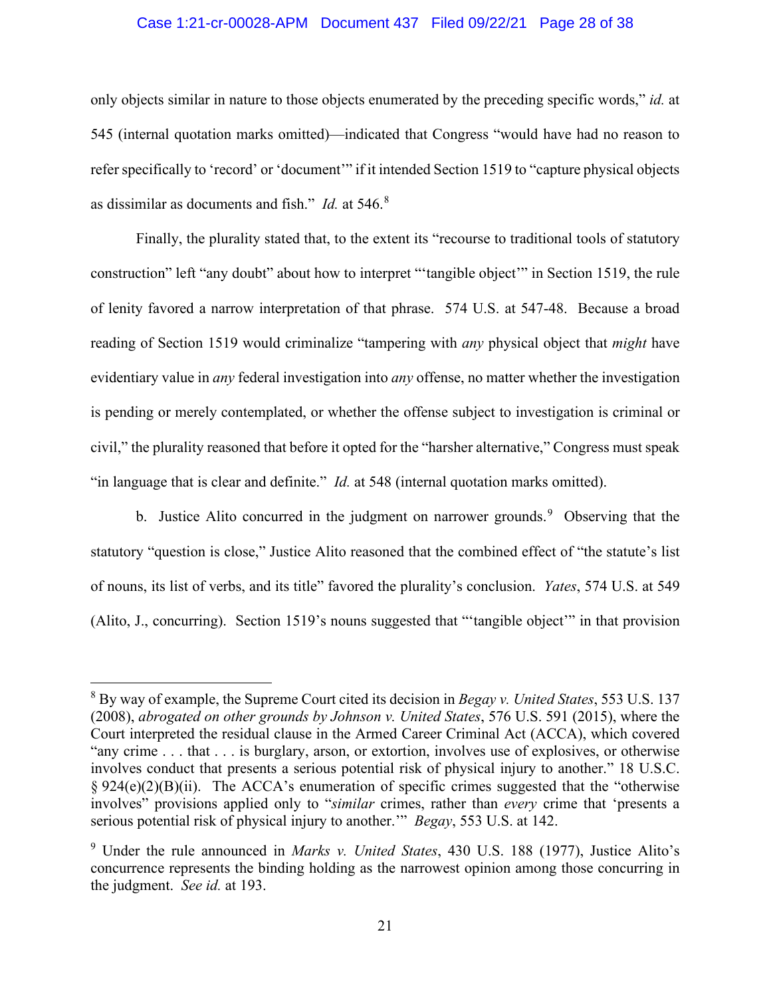#### Case 1:21-cr-00028-APM Document 437 Filed 09/22/21 Page 28 of 38

only objects similar in nature to those objects enumerated by the preceding specific words," *id.* at 545 (internal quotation marks omitted)—indicated that Congress "would have had no reason to refer specifically to 'record' or 'document'" if it intended Section 1519 to "capture physical objects as dissimilar as documents and fish." *Id.* at 546.<sup>8</sup>

Finally, the plurality stated that, to the extent its "recourse to traditional tools of statutory construction" left "any doubt" about how to interpret "'tangible object'" in Section 1519, the rule of lenity favored a narrow interpretation of that phrase. 574 U.S. at 547-48. Because a broad reading of Section 1519 would criminalize "tampering with *any* physical object that *might* have evidentiary value in *any* federal investigation into *any* offense, no matter whether the investigation is pending or merely contemplated, or whether the offense subject to investigation is criminal or civil," the plurality reasoned that before it opted for the "harsher alternative," Congress must speak "in language that is clear and definite." *Id.* at 548 (internal quotation marks omitted).

b. Justice Alito concurred in the judgment on narrower grounds.<sup>9</sup> Observing that the statutory "question is close," Justice Alito reasoned that the combined effect of "the statute's list of nouns, its list of verbs, and its title" favored the plurality's conclusion. *Yates*, 574 U.S. at 549 (Alito, J., concurring). Section 1519's nouns suggested that "'tangible object'" in that provision

<sup>8</sup> By way of example, the Supreme Court cited its decision in *Begay v. United States*, 553 U.S. 137 (2008), *abrogated on other grounds by Johnson v. United States*, 576 U.S. 591 (2015), where the Court interpreted the residual clause in the Armed Career Criminal Act (ACCA), which covered "any crime . . . that . . . is burglary, arson, or extortion, involves use of explosives, or otherwise involves conduct that presents a serious potential risk of physical injury to another." 18 U.S.C.  $§ 924(e)(2)(B)(ii)$ . The ACCA's enumeration of specific crimes suggested that the "otherwise" involves" provisions applied only to "*similar* crimes, rather than *every* crime that 'presents a serious potential risk of physical injury to another.'" *Begay*, 553 U.S. at 142.

<sup>9</sup> Under the rule announced in *Marks v. United States*, 430 U.S. 188 (1977), Justice Alito's concurrence represents the binding holding as the narrowest opinion among those concurring in the judgment. *See id.* at 193.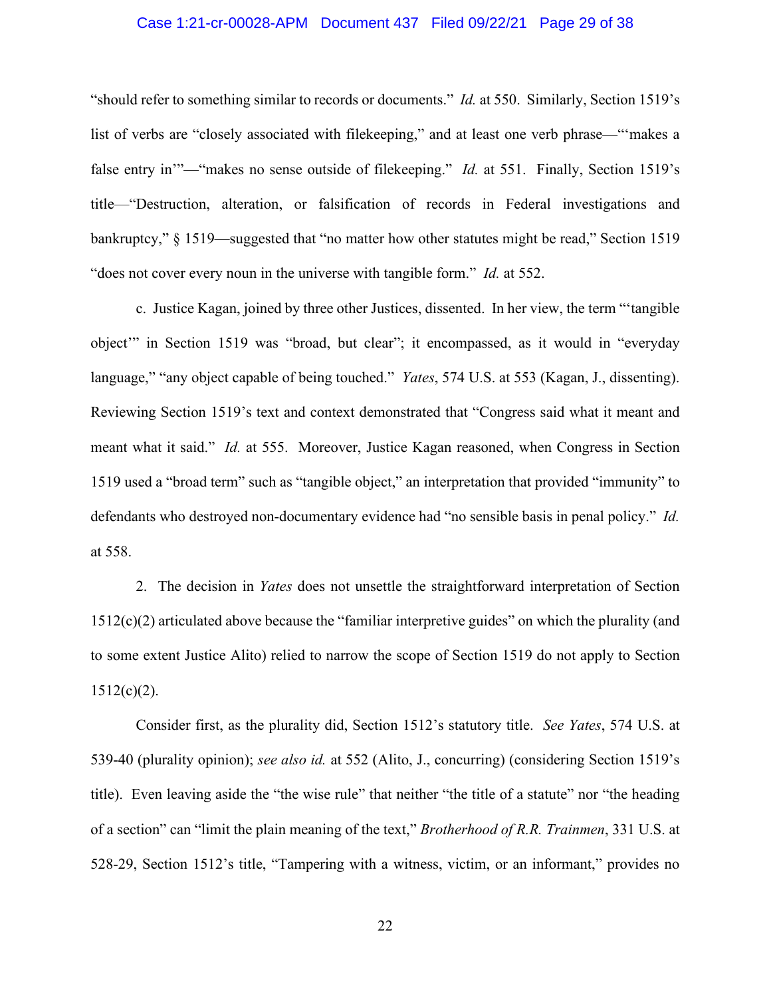#### Case 1:21-cr-00028-APM Document 437 Filed 09/22/21 Page 29 of 38

"should refer to something similar to records or documents." *Id.* at 550. Similarly, Section 1519's list of verbs are "closely associated with filekeeping," and at least one verb phrase—"'makes a false entry in'"—"makes no sense outside of filekeeping." *Id.* at 551. Finally, Section 1519's title—"Destruction, alteration, or falsification of records in Federal investigations and bankruptcy," § 1519—suggested that "no matter how other statutes might be read," Section 1519 "does not cover every noun in the universe with tangible form." *Id.* at 552.

c. Justice Kagan, joined by three other Justices, dissented. In her view, the term "'tangible object'" in Section 1519 was "broad, but clear"; it encompassed, as it would in "everyday language," "any object capable of being touched." *Yates*, 574 U.S. at 553 (Kagan, J., dissenting). Reviewing Section 1519's text and context demonstrated that "Congress said what it meant and meant what it said." *Id.* at 555. Moreover, Justice Kagan reasoned, when Congress in Section 1519 used a "broad term" such as "tangible object," an interpretation that provided "immunity" to defendants who destroyed non-documentary evidence had "no sensible basis in penal policy." *Id.* at 558.

2. The decision in *Yates* does not unsettle the straightforward interpretation of Section 1512(c)(2) articulated above because the "familiar interpretive guides" on which the plurality (and to some extent Justice Alito) relied to narrow the scope of Section 1519 do not apply to Section  $1512(c)(2)$ .

Consider first, as the plurality did, Section 1512's statutory title. *See Yates*, 574 U.S. at 539-40 (plurality opinion); *see also id.* at 552 (Alito, J., concurring) (considering Section 1519's title). Even leaving aside the "the wise rule" that neither "the title of a statute" nor "the heading of a section" can "limit the plain meaning of the text," *Brotherhood of R.R. Trainmen*, 331 U.S. at 528-29, Section 1512's title, "Tampering with a witness, victim, or an informant," provides no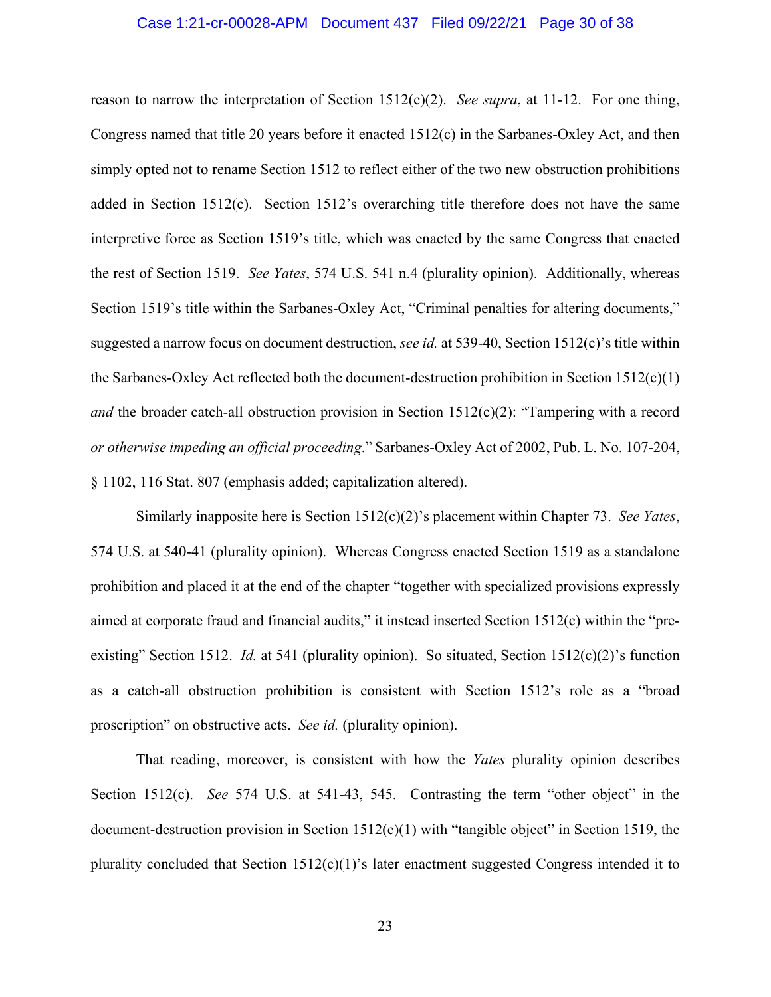#### Case 1:21-cr-00028-APM Document 437 Filed 09/22/21 Page 30 of 38

reason to narrow the interpretation of Section 1512(c)(2). *See supra*, at 11-12. For one thing, Congress named that title 20 years before it enacted 1512(c) in the Sarbanes-Oxley Act, and then simply opted not to rename Section 1512 to reflect either of the two new obstruction prohibitions added in Section 1512(c). Section 1512's overarching title therefore does not have the same interpretive force as Section 1519's title, which was enacted by the same Congress that enacted the rest of Section 1519. *See Yates*, 574 U.S. 541 n.4 (plurality opinion). Additionally, whereas Section 1519's title within the Sarbanes-Oxley Act, "Criminal penalties for altering documents," suggested a narrow focus on document destruction, *see id.* at 539-40, Section 1512(c)'s title within the Sarbanes-Oxley Act reflected both the document-destruction prohibition in Section 1512(c)(1) *and* the broader catch-all obstruction provision in Section 1512(c)(2): "Tampering with a record *or otherwise impeding an official proceeding*." Sarbanes-Oxley Act of 2002, Pub. L. No. 107-204, § 1102, 116 Stat. 807 (emphasis added; capitalization altered).

Similarly inapposite here is Section 1512(c)(2)'s placement within Chapter 73. *See Yates*, 574 U.S. at 540-41 (plurality opinion). Whereas Congress enacted Section 1519 as a standalone prohibition and placed it at the end of the chapter "together with specialized provisions expressly aimed at corporate fraud and financial audits," it instead inserted Section 1512(c) within the "preexisting" Section 1512. *Id.* at 541 (plurality opinion). So situated, Section 1512(c)(2)'s function as a catch-all obstruction prohibition is consistent with Section 1512's role as a "broad proscription" on obstructive acts. *See id.* (plurality opinion).

That reading, moreover, is consistent with how the *Yates* plurality opinion describes Section 1512(c). *See* 574 U.S. at 541-43, 545. Contrasting the term "other object" in the document-destruction provision in Section  $1512(c)(1)$  with "tangible object" in Section 1519, the plurality concluded that Section  $1512(c)(1)$ 's later enactment suggested Congress intended it to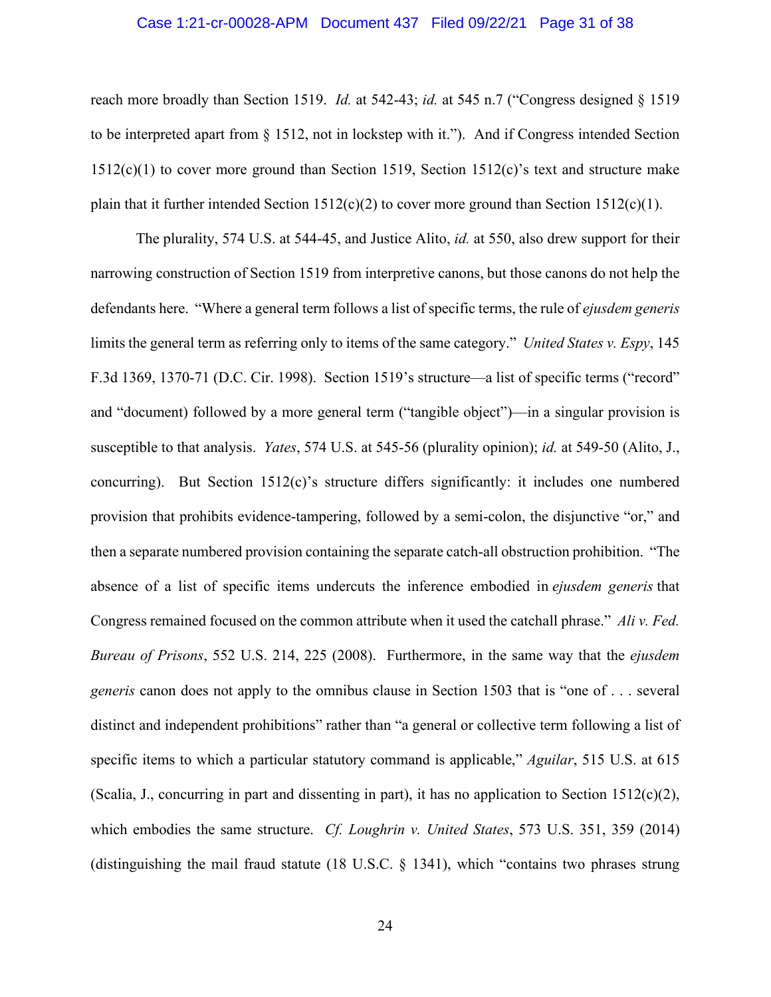#### Case 1:21-cr-00028-APM Document 437 Filed 09/22/21 Page 31 of 38

reach more broadly than Section 1519. *Id.* at 542-43; *id.* at 545 n.7 ("Congress designed § 1519 to be interpreted apart from § 1512, not in lockstep with it."). And if Congress intended Section  $1512(c)(1)$  to cover more ground than Section 1519, Section 1512(c)'s text and structure make plain that it further intended Section  $1512(c)(2)$  to cover more ground than Section  $1512(c)(1)$ .

The plurality, 574 U.S. at 544-45, and Justice Alito, *id.* at 550, also drew support for their narrowing construction of Section 1519 from interpretive canons, but those canons do not help the defendants here. "Where a general term follows a list of specific terms, the rule of *ejusdem generis* limits the general term as referring only to items of the same category." *United States v. Espy*, 145 F.3d 1369, 1370-71 (D.C. Cir. 1998). Section 1519's structure—a list of specific terms ("record" and "document) followed by a more general term ("tangible object")—in a singular provision is susceptible to that analysis. *Yates*, 574 U.S. at 545-56 (plurality opinion); *id.* at 549-50 (Alito, J., concurring). But Section  $1512(c)$ 's structure differs significantly: it includes one numbered provision that prohibits evidence-tampering, followed by a semi-colon, the disjunctive "or," and then a separate numbered provision containing the separate catch-all obstruction prohibition. "The absence of a list of specific items undercuts the inference embodied in *ejusdem generis* that Congress remained focused on the common attribute when it used the catchall phrase." *Ali v. Fed. Bureau of Prisons*, 552 U.S. 214, 225 (2008). Furthermore, in the same way that the *ejusdem generis* canon does not apply to the omnibus clause in Section 1503 that is "one of . . . several distinct and independent prohibitions" rather than "a general or collective term following a list of specific items to which a particular statutory command is applicable," *Aguilar*, 515 U.S. at 615 (Scalia, J., concurring in part and dissenting in part), it has no application to Section 1512(c)(2), which embodies the same structure. *Cf. Loughrin v. United States*, 573 U.S. 351, 359 (2014) (distinguishing the mail fraud statute (18 U.S.C. § 1341), which "contains two phrases strung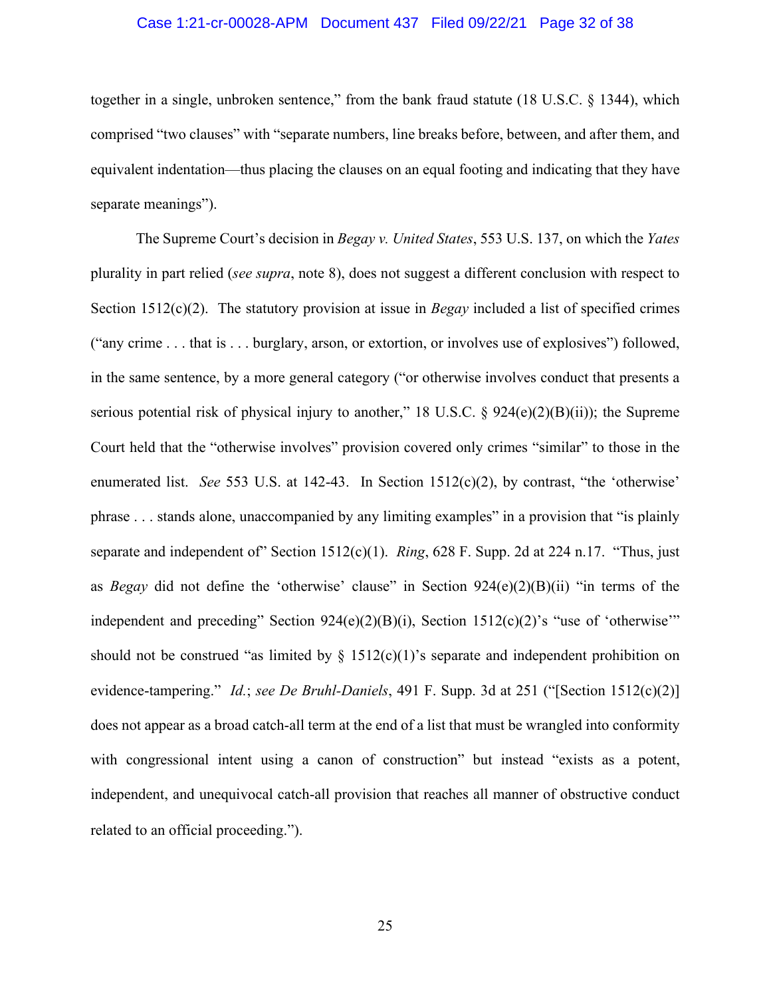#### Case 1:21-cr-00028-APM Document 437 Filed 09/22/21 Page 32 of 38

together in a single, unbroken sentence," from the bank fraud statute (18 U.S.C. § 1344), which comprised "two clauses" with "separate numbers, line breaks before, between, and after them, and equivalent indentation—thus placing the clauses on an equal footing and indicating that they have separate meanings").

The Supreme Court's decision in *Begay v. United States*, 553 U.S. 137, on which the *Yates* plurality in part relied (*see supra*, note 8), does not suggest a different conclusion with respect to Section 1512(c)(2). The statutory provision at issue in *Begay* included a list of specified crimes ("any crime . . . that is . . . burglary, arson, or extortion, or involves use of explosives") followed, in the same sentence, by a more general category ("or otherwise involves conduct that presents a serious potential risk of physical injury to another," 18 U.S.C.  $\S$  924(e)(2)(B)(ii)); the Supreme Court held that the "otherwise involves" provision covered only crimes "similar" to those in the enumerated list. *See* 553 U.S. at 142-43. In Section 1512(c)(2), by contrast, "the 'otherwise' phrase . . . stands alone, unaccompanied by any limiting examples" in a provision that "is plainly separate and independent of" Section 1512(c)(1). *Ring*, 628 F. Supp. 2d at 224 n.17. "Thus, just as *Begay* did not define the 'otherwise' clause" in Section 924(e)(2)(B)(ii) "in terms of the independent and preceding" Section  $924(e)(2)(B)(i)$ , Section  $1512(e)(2)$ 's "use of 'otherwise" should not be construed "as limited by  $\S$  1512(c)(1)'s separate and independent prohibition on evidence-tampering." *Id.*; *see De Bruhl-Daniels*, 491 F. Supp. 3d at 251 ("[Section 1512(c)(2)] does not appear as a broad catch-all term at the end of a list that must be wrangled into conformity with congressional intent using a canon of construction" but instead "exists as a potent, independent, and unequivocal catch-all provision that reaches all manner of obstructive conduct related to an official proceeding.").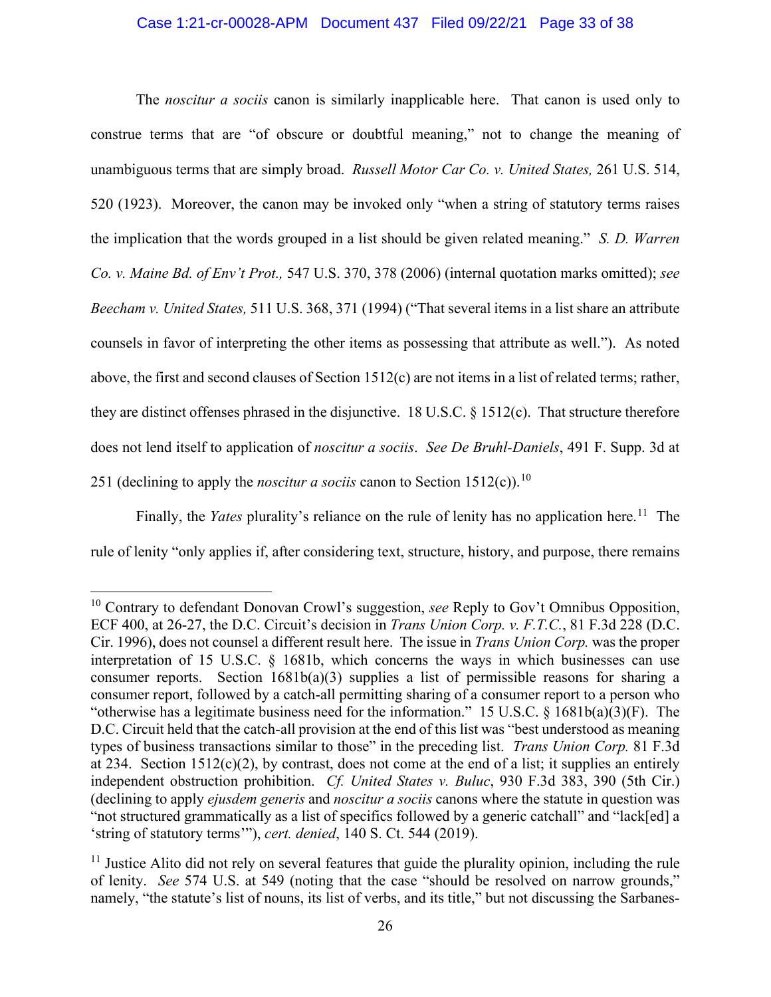#### Case 1:21-cr-00028-APM Document 437 Filed 09/22/21 Page 33 of 38

The *noscitur a sociis* canon is similarly inapplicable here. That canon is used only to construe terms that are "of obscure or doubtful meaning," not to change the meaning of unambiguous terms that are simply broad. *Russell Motor Car Co. v. United States,* 261 U.S. 514, 520 (1923). Moreover, the canon may be invoked only "when a string of statutory terms raises the implication that the words grouped in a list should be given related meaning." *S. D. Warren Co. v. Maine Bd. of Env't Prot.,* 547 U.S. 370, 378 (2006) (internal quotation marks omitted); *see Beecham v. United States,* 511 U.S. 368, 371 (1994) ("That several items in a list share an attribute counsels in favor of interpreting the other items as possessing that attribute as well."). As noted above, the first and second clauses of Section 1512(c) are not items in a list of related terms; rather, they are distinct offenses phrased in the disjunctive. 18 U.S.C. § 1512(c). That structure therefore does not lend itself to application of *noscitur a sociis*. *See De Bruhl-Daniels*, 491 F. Supp. 3d at 251 (declining to apply the *noscitur a sociis* canon to Section 1512(c)).<sup>10</sup>

Finally, the *Yates* plurality's reliance on the rule of lenity has no application here.<sup>11</sup> The rule of lenity "only applies if, after considering text, structure, history, and purpose, there remains

<sup>10</sup> Contrary to defendant Donovan Crowl's suggestion, *see* Reply to Gov't Omnibus Opposition, ECF 400, at 26-27, the D.C. Circuit's decision in *Trans Union Corp. v. F.T.C.*, 81 F.3d 228 (D.C. Cir. 1996), does not counsel a different result here. The issue in *Trans Union Corp.* was the proper interpretation of 15 U.S.C. § 1681b, which concerns the ways in which businesses can use consumer reports. Section 1681b(a)(3) supplies a list of permissible reasons for sharing a consumer report, followed by a catch-all permitting sharing of a consumer report to a person who "otherwise has a legitimate business need for the information." 15 U.S.C. § 1681b(a)(3)(F). The D.C. Circuit held that the catch-all provision at the end of this list was "best understood as meaning types of business transactions similar to those" in the preceding list. *Trans Union Corp.* 81 F.3d at 234. Section  $1512(c)(2)$ , by contrast, does not come at the end of a list; it supplies an entirely independent obstruction prohibition. *Cf. United States v. Buluc*, 930 F.3d 383, 390 (5th Cir.) (declining to apply *ejusdem generis* and *noscitur a sociis* canons where the statute in question was "not structured grammatically as a list of specifics followed by a generic catchall" and "lack[ed] a 'string of statutory terms'"), *cert. denied*, 140 S. Ct. 544 (2019).

 $11$  Justice Alito did not rely on several features that guide the plurality opinion, including the rule of lenity. *See* 574 U.S. at 549 (noting that the case "should be resolved on narrow grounds," namely, "the statute's list of nouns, its list of verbs, and its title," but not discussing the Sarbanes-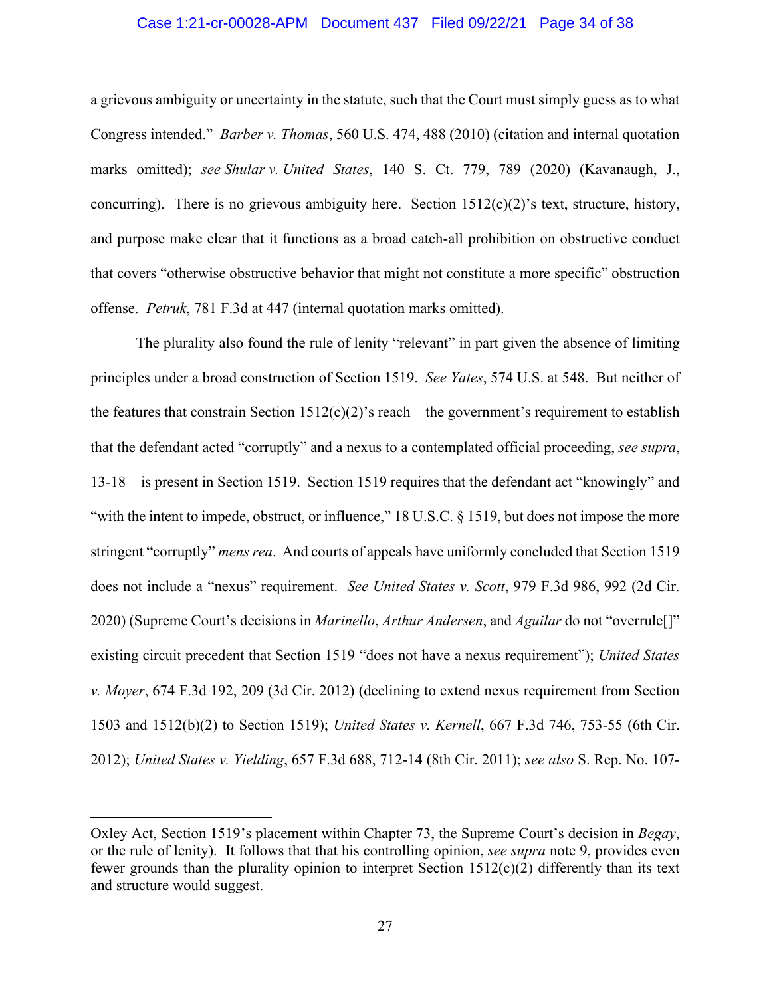#### Case 1:21-cr-00028-APM Document 437 Filed 09/22/21 Page 34 of 38

a grievous ambiguity or uncertainty in the statute, such that the Court must simply guess as to what Congress intended." *Barber v. Thomas*, 560 U.S. 474, 488 (2010) (citation and internal quotation marks omitted); *see Shular v. United States*, 140 S. Ct. 779, 789 (2020) (Kavanaugh, J., concurring). There is no grievous ambiguity here. Section  $1512(c)(2)$ 's text, structure, history, and purpose make clear that it functions as a broad catch-all prohibition on obstructive conduct that covers "otherwise obstructive behavior that might not constitute a more specific" obstruction offense. *Petruk*, 781 F.3d at 447 (internal quotation marks omitted).

The plurality also found the rule of lenity "relevant" in part given the absence of limiting principles under a broad construction of Section 1519. *See Yates*, 574 U.S. at 548. But neither of the features that constrain Section  $1512(c)(2)$ 's reach—the government's requirement to establish that the defendant acted "corruptly" and a nexus to a contemplated official proceeding, *see supra*, 13-18—is present in Section 1519. Section 1519 requires that the defendant act "knowingly" and "with the intent to impede, obstruct, or influence," 18 U.S.C. § 1519, but does not impose the more stringent "corruptly" *mens rea*. And courts of appeals have uniformly concluded that Section 1519 does not include a "nexus" requirement. *See United States v. Scott*, 979 F.3d 986, 992 (2d Cir. 2020) (Supreme Court's decisions in *Marinello*, *Arthur Andersen*, and *Aguilar* do not "overrule[]" existing circuit precedent that Section 1519 "does not have a nexus requirement"); *United States v. Moyer*, 674 F.3d 192, 209 (3d Cir. 2012) (declining to extend nexus requirement from Section 1503 and 1512(b)(2) to Section 1519); *United States v. Kernell*, 667 F.3d 746, 753-55 (6th Cir. 2012); *United States v. Yielding*, 657 F.3d 688, 712-14 (8th Cir. 2011); *see also* S. Rep. No. 107-

Oxley Act, Section 1519's placement within Chapter 73, the Supreme Court's decision in *Begay*, or the rule of lenity). It follows that that his controlling opinion, *see supra* note 9, provides even fewer grounds than the plurality opinion to interpret Section  $1512(c)(2)$  differently than its text and structure would suggest.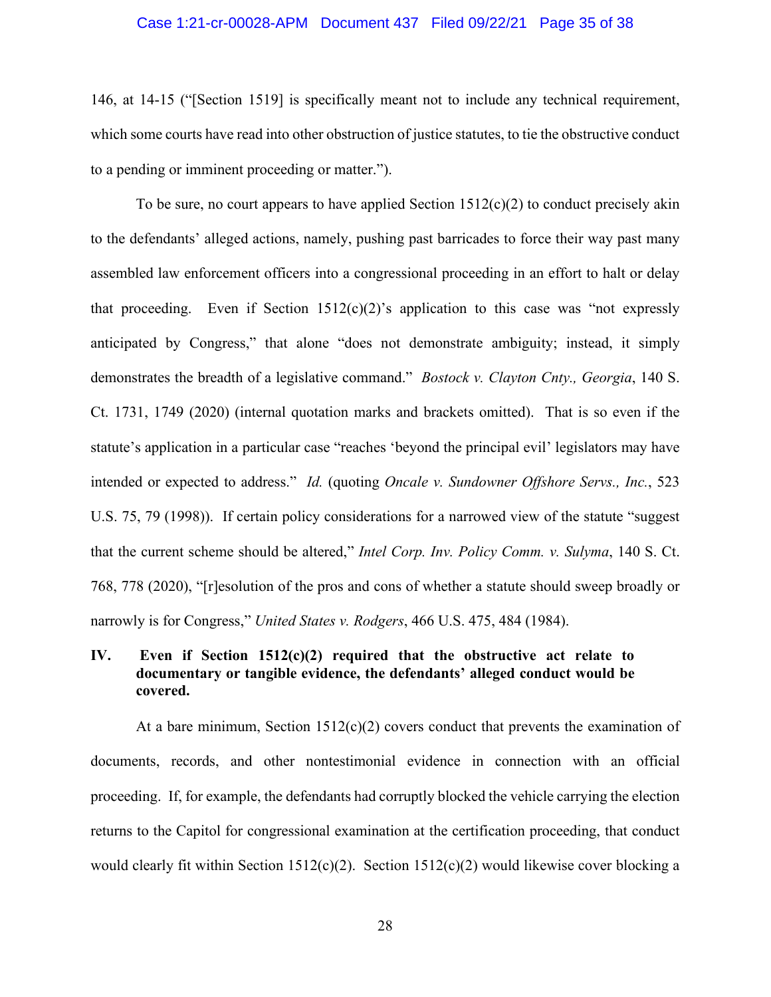#### Case 1:21-cr-00028-APM Document 437 Filed 09/22/21 Page 35 of 38

146, at 14-15 ("[Section 1519] is specifically meant not to include any technical requirement, which some courts have read into other obstruction of justice statutes, to tie the obstructive conduct to a pending or imminent proceeding or matter.").

To be sure, no court appears to have applied Section  $1512(c)(2)$  to conduct precisely akin to the defendants' alleged actions, namely, pushing past barricades to force their way past many assembled law enforcement officers into a congressional proceeding in an effort to halt or delay that proceeding. Even if Section  $1512(c)(2)$ 's application to this case was "not expressly anticipated by Congress," that alone "does not demonstrate ambiguity; instead, it simply demonstrates the breadth of a legislative command." *Bostock v. Clayton Cnty., Georgia*, 140 S. Ct. 1731, 1749 (2020) (internal quotation marks and brackets omitted). That is so even if the statute's application in a particular case "reaches 'beyond the principal evil' legislators may have intended or expected to address." *Id.* (quoting *Oncale v. Sundowner Offshore Servs., Inc.*, 523 U.S. 75, 79 (1998)). If certain policy considerations for a narrowed view of the statute "suggest that the current scheme should be altered," *Intel Corp. Inv. Policy Comm. v. Sulyma*, 140 S. Ct. 768, 778 (2020), "[r]esolution of the pros and cons of whether a statute should sweep broadly or narrowly is for Congress," *United States v. Rodgers*, 466 U.S. 475, 484 (1984).

## **IV. Even if Section 1512(c)(2) required that the obstructive act relate to documentary or tangible evidence, the defendants' alleged conduct would be covered.**

At a bare minimum, Section  $1512(c)(2)$  covers conduct that prevents the examination of documents, records, and other nontestimonial evidence in connection with an official proceeding. If, for example, the defendants had corruptly blocked the vehicle carrying the election returns to the Capitol for congressional examination at the certification proceeding, that conduct would clearly fit within Section 1512(c)(2). Section 1512(c)(2) would likewise cover blocking a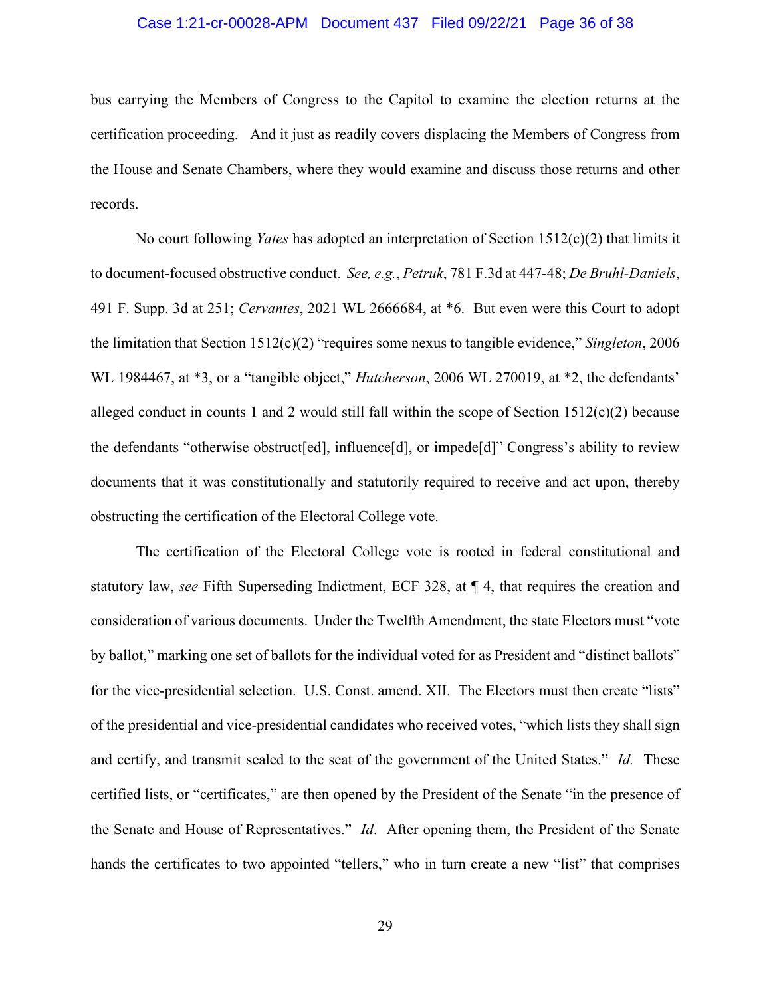#### Case 1:21-cr-00028-APM Document 437 Filed 09/22/21 Page 36 of 38

bus carrying the Members of Congress to the Capitol to examine the election returns at the certification proceeding. And it just as readily covers displacing the Members of Congress from the House and Senate Chambers, where they would examine and discuss those returns and other records.

No court following *Yates* has adopted an interpretation of Section 1512(c)(2) that limits it to document-focused obstructive conduct. *See, e.g.*, *Petruk*, 781 F.3d at 447-48; *De Bruhl-Daniels*, 491 F. Supp. 3d at 251; *Cervantes*, 2021 WL 2666684, at \*6. But even were this Court to adopt the limitation that Section 1512(c)(2) "requires some nexus to tangible evidence," *Singleton*, 2006 WL 1984467, at \*3, or a "tangible object," *Hutcherson*, 2006 WL 270019, at \*2, the defendants' alleged conduct in counts 1 and 2 would still fall within the scope of Section  $1512(c)(2)$  because the defendants "otherwise obstruct[ed], influence[d], or impede[d]" Congress's ability to review documents that it was constitutionally and statutorily required to receive and act upon, thereby obstructing the certification of the Electoral College vote.

The certification of the Electoral College vote is rooted in federal constitutional and statutory law, *see* Fifth Superseding Indictment, ECF 328, at ¶ 4, that requires the creation and consideration of various documents. Under the Twelfth Amendment, the state Electors must "vote by ballot," marking one set of ballots for the individual voted for as President and "distinct ballots" for the vice-presidential selection. U.S. Const. amend. XII. The Electors must then create "lists" of the presidential and vice-presidential candidates who received votes, "which lists they shall sign and certify, and transmit sealed to the seat of the government of the United States." *Id.* These certified lists, or "certificates," are then opened by the President of the Senate "in the presence of the Senate and House of Representatives." *Id*. After opening them, the President of the Senate hands the certificates to two appointed "tellers," who in turn create a new "list" that comprises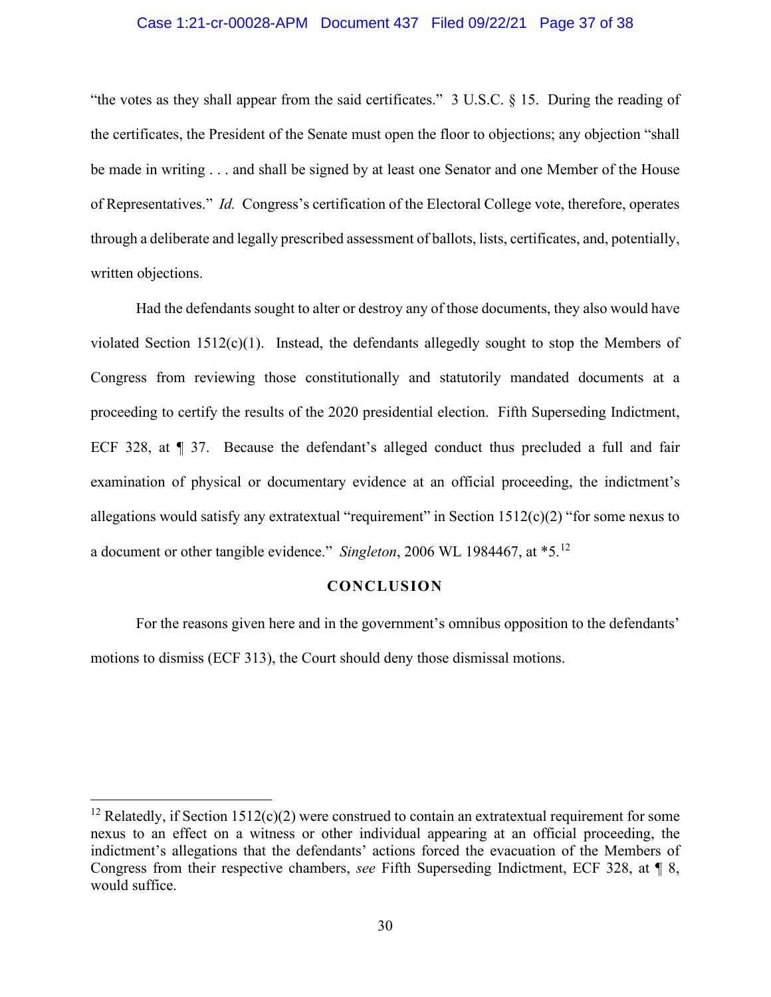#### Case 1:21-cr-00028-APM Document 437 Filed 09/22/21 Page 37 of 38

"the votes as they shall appear from the said certificates." 3 U.S.C. § 15. During the reading of the certificates, the President of the Senate must open the floor to objections; any objection "shall be made in writing . . . and shall be signed by at least one Senator and one Member of the House of Representatives." *Id.* Congress's certification of the Electoral College vote, therefore, operates through a deliberate and legally prescribed assessment of ballots, lists, certificates, and, potentially, written objections.

Had the defendants sought to alter or destroy any of those documents, they also would have violated Section 1512(c)(1). Instead, the defendants allegedly sought to stop the Members of Congress from reviewing those constitutionally and statutorily mandated documents at a proceeding to certify the results of the 2020 presidential election. Fifth Superseding Indictment, ECF 328, at ¶ 37. Because the defendant's alleged conduct thus precluded a full and fair examination of physical or documentary evidence at an official proceeding, the indictment's allegations would satisfy any extratextual "requirement" in Section 1512(c)(2) "for some nexus to a document or other tangible evidence." *Singleton*, 2006 WL 1984467, at \*5.12

#### **CONCLUSION**

For the reasons given here and in the government's omnibus opposition to the defendants' motions to dismiss (ECF 313), the Court should deny those dismissal motions.

<sup>&</sup>lt;sup>12</sup> Relatedly, if Section 1512(c)(2) were construed to contain an extratextual requirement for some nexus to an effect on a witness or other individual appearing at an official proceeding, the indictment's allegations that the defendants' actions forced the evacuation of the Members of Congress from their respective chambers, *see* Fifth Superseding Indictment, ECF 328, at ¶ 8, would suffice.